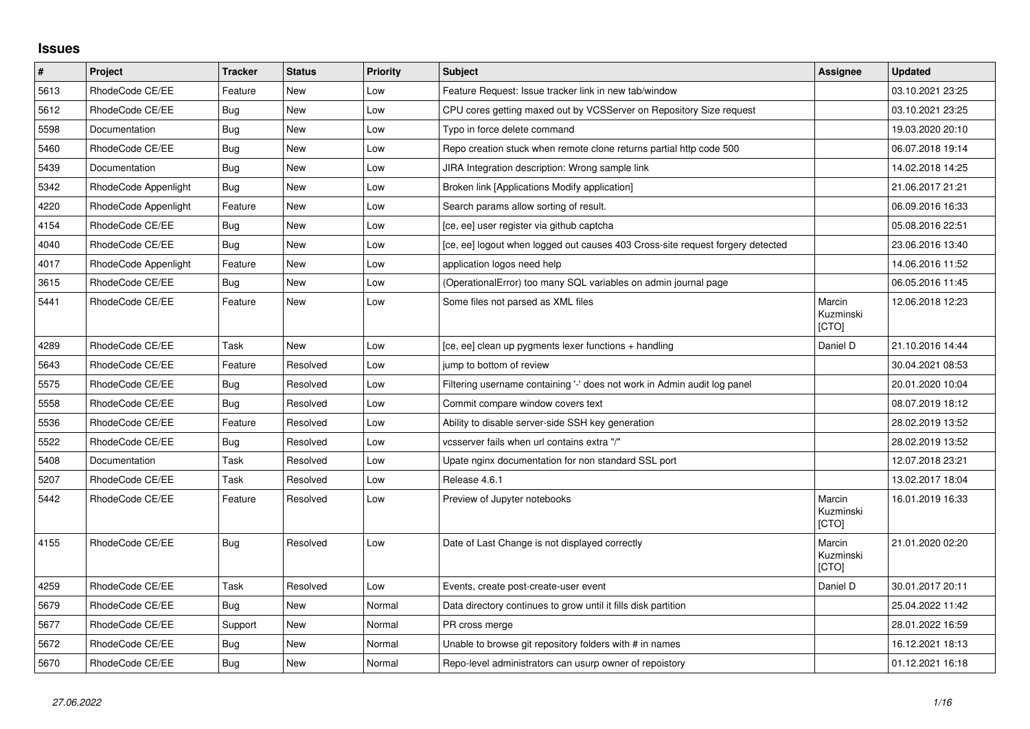## **Issues**

| $\pmb{\#}$ | Project              | <b>Tracker</b> | <b>Status</b> | <b>Priority</b> | <b>Subject</b>                                                                 | Assignee                     | <b>Updated</b>   |
|------------|----------------------|----------------|---------------|-----------------|--------------------------------------------------------------------------------|------------------------------|------------------|
| 5613       | RhodeCode CE/EE      | Feature        | New           | Low             | Feature Request: Issue tracker link in new tab/window                          |                              | 03.10.2021 23:25 |
| 5612       | RhodeCode CE/EE      | Bug            | New           | Low             | CPU cores getting maxed out by VCSServer on Repository Size request            |                              | 03.10.2021 23:25 |
| 5598       | Documentation        | Bug            | New           | Low             | Typo in force delete command                                                   |                              | 19.03.2020 20:10 |
| 5460       | RhodeCode CE/EE      | <b>Bug</b>     | New           | Low             | Repo creation stuck when remote clone returns partial http code 500            |                              | 06.07.2018 19:14 |
| 5439       | Documentation        | Bug            | <b>New</b>    | Low             | JIRA Integration description: Wrong sample link                                |                              | 14.02.2018 14:25 |
| 5342       | RhodeCode Appenlight | Bug            | <b>New</b>    | Low             | Broken link [Applications Modify application]                                  |                              | 21.06.2017 21:21 |
| 4220       | RhodeCode Appenlight | Feature        | <b>New</b>    | Low             | Search params allow sorting of result.                                         |                              | 06.09.2016 16:33 |
| 4154       | RhodeCode CE/EE      | Bug            | New           | Low             | [ce, ee] user register via github captcha                                      |                              | 05.08.2016 22:51 |
| 4040       | RhodeCode CE/EE      | Bug            | <b>New</b>    | Low             | [ce, ee] logout when logged out causes 403 Cross-site request forgery detected |                              | 23.06.2016 13:40 |
| 4017       | RhodeCode Appenlight | Feature        | <b>New</b>    | Low             | application logos need help                                                    |                              | 14.06.2016 11:52 |
| 3615       | RhodeCode CE/EE      | Bug            | New           | Low             | (OperationalError) too many SQL variables on admin journal page                |                              | 06.05.2016 11:45 |
| 5441       | RhodeCode CE/EE      | Feature        | New           | Low             | Some files not parsed as XML files                                             | Marcin<br>Kuzminski<br>[CTO] | 12.06.2018 12:23 |
| 4289       | RhodeCode CE/EE      | Task           | <b>New</b>    | Low             | [ce, ee] clean up pygments lexer functions + handling                          | Daniel D                     | 21.10.2016 14:44 |
| 5643       | RhodeCode CE/EE      | Feature        | Resolved      | Low             | jump to bottom of review                                                       |                              | 30.04.2021 08:53 |
| 5575       | RhodeCode CE/EE      | Bug            | Resolved      | Low             | Filtering username containing '-' does not work in Admin audit log panel       |                              | 20.01.2020 10:04 |
| 5558       | RhodeCode CE/EE      | Bug            | Resolved      | Low             | Commit compare window covers text                                              |                              | 08.07.2019 18:12 |
| 5536       | RhodeCode CE/EE      | Feature        | Resolved      | Low             | Ability to disable server-side SSH key generation                              |                              | 28.02.2019 13:52 |
| 5522       | RhodeCode CE/EE      | Bug            | Resolved      | Low             | vcsserver fails when url contains extra "/"                                    |                              | 28.02.2019 13:52 |
| 5408       | Documentation        | Task           | Resolved      | Low             | Upate nginx documentation for non standard SSL port                            |                              | 12.07.2018 23:21 |
| 5207       | RhodeCode CE/EE      | Task           | Resolved      | Low             | Release 4.6.1                                                                  |                              | 13.02.2017 18:04 |
| 5442       | RhodeCode CE/EE      | Feature        | Resolved      | Low             | Preview of Jupyter notebooks                                                   | Marcin<br>Kuzminski<br>[CTO] | 16.01.2019 16:33 |
| 4155       | RhodeCode CE/EE      | Bug            | Resolved      | Low             | Date of Last Change is not displayed correctly                                 | Marcin<br>Kuzminski<br>[CTO] | 21.01.2020 02:20 |
| 4259       | RhodeCode CE/EE      | Task           | Resolved      | Low             | Events, create post-create-user event                                          | Daniel D                     | 30.01.2017 20:11 |
| 5679       | RhodeCode CE/EE      | Bug            | <b>New</b>    | Normal          | Data directory continues to grow until it fills disk partition                 |                              | 25.04.2022 11:42 |
| 5677       | RhodeCode CE/EE      | Support        | <b>New</b>    | Normal          | PR cross merge                                                                 |                              | 28.01.2022 16:59 |
| 5672       | RhodeCode CE/EE      | Bug            | New           | Normal          | Unable to browse git repository folders with # in names                        |                              | 16.12.2021 18:13 |
| 5670       | RhodeCode CE/EE      | Bug            | <b>New</b>    | Normal          | Repo-level administrators can usurp owner of repoistory                        |                              | 01.12.2021 16:18 |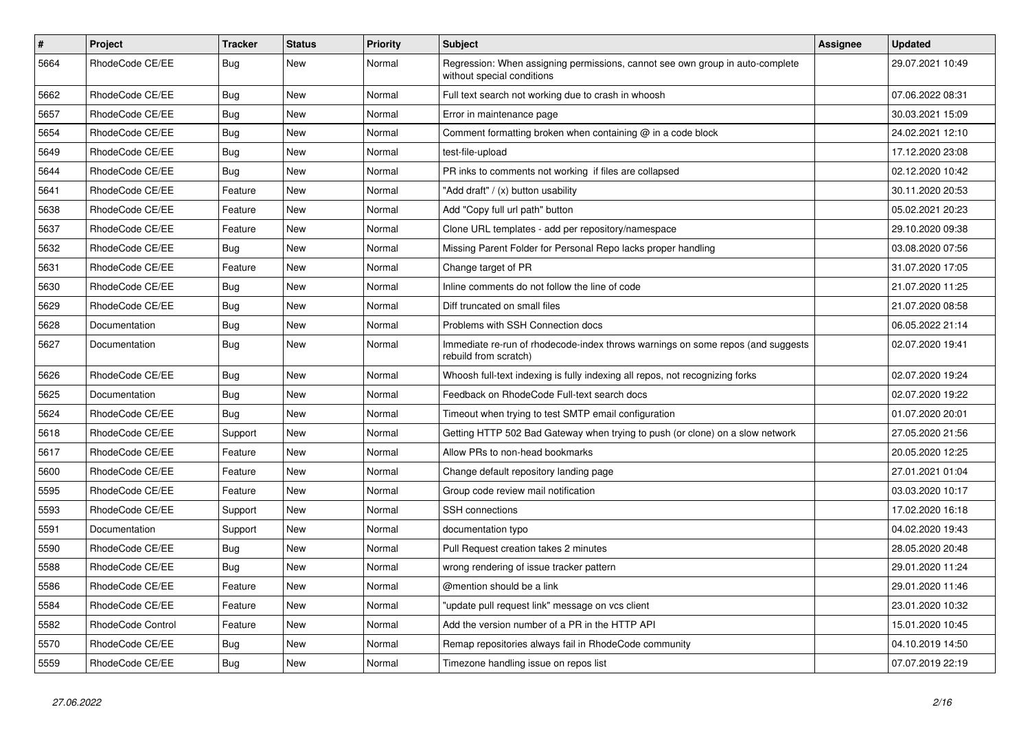| $\sharp$ | <b>Project</b>    | <b>Tracker</b> | <b>Status</b> | <b>Priority</b> | <b>Subject</b>                                                                                              | <b>Assignee</b> | <b>Updated</b>   |
|----------|-------------------|----------------|---------------|-----------------|-------------------------------------------------------------------------------------------------------------|-----------------|------------------|
| 5664     | RhodeCode CE/EE   | Bug            | New           | Normal          | Regression: When assigning permissions, cannot see own group in auto-complete<br>without special conditions |                 | 29.07.2021 10:49 |
| 5662     | RhodeCode CE/EE   | Bug            | <b>New</b>    | Normal          | Full text search not working due to crash in whoosh                                                         |                 | 07.06.2022 08:31 |
| 5657     | RhodeCode CE/EE   | Bug            | <b>New</b>    | Normal          | Error in maintenance page                                                                                   |                 | 30.03.2021 15:09 |
| 5654     | RhodeCode CE/EE   | Bug            | <b>New</b>    | Normal          | Comment formatting broken when containing $@$ in a code block                                               |                 | 24.02.2021 12:10 |
| 5649     | RhodeCode CE/EE   | <b>Bug</b>     | <b>New</b>    | Normal          | test-file-upload                                                                                            |                 | 17.12.2020 23:08 |
| 5644     | RhodeCode CE/EE   | Bug            | New           | Normal          | PR inks to comments not working if files are collapsed                                                      |                 | 02.12.2020 10:42 |
| 5641     | RhodeCode CE/EE   | Feature        | <b>New</b>    | Normal          | 'Add draft" / (x) button usability                                                                          |                 | 30.11.2020 20:53 |
| 5638     | RhodeCode CE/EE   | Feature        | <b>New</b>    | Normal          | Add "Copy full url path" button                                                                             |                 | 05.02.2021 20:23 |
| 5637     | RhodeCode CE/EE   | Feature        | <b>New</b>    | Normal          | Clone URL templates - add per repository/namespace                                                          |                 | 29.10.2020 09:38 |
| 5632     | RhodeCode CE/EE   | Bug            | New           | Normal          | Missing Parent Folder for Personal Repo lacks proper handling                                               |                 | 03.08.2020 07:56 |
| 5631     | RhodeCode CE/EE   | Feature        | <b>New</b>    | Normal          | Change target of PR                                                                                         |                 | 31.07.2020 17:05 |
| 5630     | RhodeCode CE/EE   | <b>Bug</b>     | <b>New</b>    | Normal          | Inline comments do not follow the line of code                                                              |                 | 21.07.2020 11:25 |
| 5629     | RhodeCode CE/EE   | Bug            | <b>New</b>    | Normal          | Diff truncated on small files                                                                               |                 | 21.07.2020 08:58 |
| 5628     | Documentation     | Bug            | New           | Normal          | Problems with SSH Connection docs                                                                           |                 | 06.05.2022 21:14 |
| 5627     | Documentation     | <b>Bug</b>     | New           | Normal          | Immediate re-run of rhodecode-index throws warnings on some repos (and suggests<br>rebuild from scratch)    |                 | 02.07.2020 19:41 |
| 5626     | RhodeCode CE/EE   | Bug            | New           | Normal          | Whoosh full-text indexing is fully indexing all repos, not recognizing forks                                |                 | 02.07.2020 19:24 |
| 5625     | Documentation     | Bug            | New           | Normal          | Feedback on RhodeCode Full-text search docs                                                                 |                 | 02.07.2020 19:22 |
| 5624     | RhodeCode CE/EE   | <b>Bug</b>     | New           | Normal          | Timeout when trying to test SMTP email configuration                                                        |                 | 01.07.2020 20:01 |
| 5618     | RhodeCode CE/EE   | Support        | New           | Normal          | Getting HTTP 502 Bad Gateway when trying to push (or clone) on a slow network                               |                 | 27.05.2020 21:56 |
| 5617     | RhodeCode CE/EE   | Feature        | New           | Normal          | Allow PRs to non-head bookmarks                                                                             |                 | 20.05.2020 12:25 |
| 5600     | RhodeCode CE/EE   | Feature        | New           | Normal          | Change default repository landing page                                                                      |                 | 27.01.2021 01:04 |
| 5595     | RhodeCode CE/EE   | Feature        | <b>New</b>    | Normal          | Group code review mail notification                                                                         |                 | 03.03.2020 10:17 |
| 5593     | RhodeCode CE/EE   | Support        | New           | Normal          | <b>SSH</b> connections                                                                                      |                 | 17.02.2020 16:18 |
| 5591     | Documentation     | Support        | New           | Normal          | documentation typo                                                                                          |                 | 04.02.2020 19:43 |
| 5590     | RhodeCode CE/EE   | Bug            | New           | Normal          | Pull Request creation takes 2 minutes                                                                       |                 | 28.05.2020 20:48 |
| 5588     | RhodeCode CE/EE   | Bug            | <b>New</b>    | Normal          | wrong rendering of issue tracker pattern                                                                    |                 | 29.01.2020 11:24 |
| 5586     | RhodeCode CE/EE   | Feature        | <b>New</b>    | Normal          | @mention should be a link                                                                                   |                 | 29.01.2020 11:46 |
| 5584     | RhodeCode CE/EE   | Feature        | <b>New</b>    | Normal          | 'update pull request link" message on vcs client                                                            |                 | 23.01.2020 10:32 |
| 5582     | RhodeCode Control | Feature        | <b>New</b>    | Normal          | Add the version number of a PR in the HTTP API                                                              |                 | 15.01.2020 10:45 |
| 5570     | RhodeCode CE/EE   | <b>Bug</b>     | <b>New</b>    | Normal          | Remap repositories always fail in RhodeCode community                                                       |                 | 04.10.2019 14:50 |
| 5559     | RhodeCode CE/EE   | Bug            | <b>New</b>    | Normal          | Timezone handling issue on repos list                                                                       |                 | 07.07.2019 22:19 |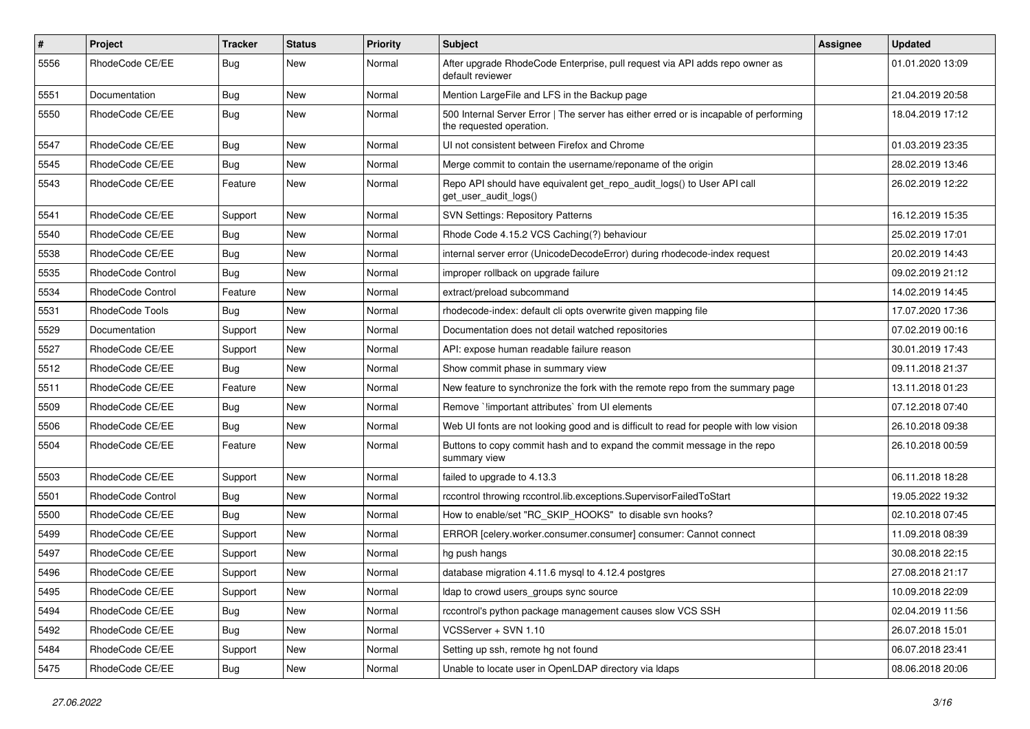| $\pmb{\#}$ | <b>Project</b>    | <b>Tracker</b> | <b>Status</b> | <b>Priority</b> | <b>Subject</b>                                                                                                    | Assignee | <b>Updated</b>   |
|------------|-------------------|----------------|---------------|-----------------|-------------------------------------------------------------------------------------------------------------------|----------|------------------|
| 5556       | RhodeCode CE/EE   | Bug            | New           | Normal          | After upgrade RhodeCode Enterprise, pull request via API adds repo owner as<br>default reviewer                   |          | 01.01.2020 13:09 |
| 5551       | Documentation     | Bug            | New           | Normal          | Mention LargeFile and LFS in the Backup page                                                                      |          | 21.04.2019 20:58 |
| 5550       | RhodeCode CE/EE   | Bug            | New           | Normal          | 500 Internal Server Error   The server has either erred or is incapable of performing<br>the requested operation. |          | 18.04.2019 17:12 |
| 5547       | RhodeCode CE/EE   | Bug            | <b>New</b>    | Normal          | UI not consistent between Firefox and Chrome                                                                      |          | 01.03.2019 23:35 |
| 5545       | RhodeCode CE/EE   | Bug            | <b>New</b>    | Normal          | Merge commit to contain the username/reponame of the origin                                                       |          | 28.02.2019 13:46 |
| 5543       | RhodeCode CE/EE   | Feature        | <b>New</b>    | Normal          | Repo API should have equivalent get_repo_audit_logs() to User API call<br>get_user_audit_logs()                   |          | 26.02.2019 12:22 |
| 5541       | RhodeCode CE/EE   | Support        | <b>New</b>    | Normal          | <b>SVN Settings: Repository Patterns</b>                                                                          |          | 16.12.2019 15:35 |
| 5540       | RhodeCode CE/EE   | Bug            | New           | Normal          | Rhode Code 4.15.2 VCS Caching(?) behaviour                                                                        |          | 25.02.2019 17:01 |
| 5538       | RhodeCode CE/EE   | Bug            | New           | Normal          | internal server error (UnicodeDecodeError) during rhodecode-index request                                         |          | 20.02.2019 14:43 |
| 5535       | RhodeCode Control | Bug            | <b>New</b>    | Normal          | improper rollback on upgrade failure                                                                              |          | 09.02.2019 21:12 |
| 5534       | RhodeCode Control | Feature        | New           | Normal          | extract/preload subcommand                                                                                        |          | 14.02.2019 14:45 |
| 5531       | RhodeCode Tools   | <b>Bug</b>     | <b>New</b>    | Normal          | rhodecode-index: default cli opts overwrite given mapping file                                                    |          | 17.07.2020 17:36 |
| 5529       | Documentation     | Support        | New           | Normal          | Documentation does not detail watched repositories                                                                |          | 07.02.2019 00:16 |
| 5527       | RhodeCode CE/EE   | Support        | New           | Normal          | API: expose human readable failure reason                                                                         |          | 30.01.2019 17:43 |
| 5512       | RhodeCode CE/EE   | Bug            | <b>New</b>    | Normal          | Show commit phase in summary view                                                                                 |          | 09.11.2018 21:37 |
| 5511       | RhodeCode CE/EE   | Feature        | <b>New</b>    | Normal          | New feature to synchronize the fork with the remote repo from the summary page                                    |          | 13.11.2018 01:23 |
| 5509       | RhodeCode CE/EE   | Bug            | New           | Normal          | Remove `limportant attributes` from UI elements                                                                   |          | 07.12.2018 07:40 |
| 5506       | RhodeCode CE/EE   | Bug            | New           | Normal          | Web UI fonts are not looking good and is difficult to read for people with low vision                             |          | 26.10.2018 09:38 |
| 5504       | RhodeCode CE/EE   | Feature        | New           | Normal          | Buttons to copy commit hash and to expand the commit message in the repo<br>summary view                          |          | 26.10.2018 00:59 |
| 5503       | RhodeCode CE/EE   | Support        | New           | Normal          | failed to upgrade to 4.13.3                                                                                       |          | 06.11.2018 18:28 |
| 5501       | RhodeCode Control | Bug            | New           | Normal          | rccontrol throwing rccontrol.lib.exceptions.SupervisorFailedToStart                                               |          | 19.05.2022 19:32 |
| 5500       | RhodeCode CE/EE   | <b>Bug</b>     | <b>New</b>    | Normal          | How to enable/set "RC_SKIP_HOOKS" to disable svn hooks?                                                           |          | 02.10.2018 07:45 |
| 5499       | RhodeCode CE/EE   | Support        | New           | Normal          | ERROR [celery.worker.consumer.consumer] consumer: Cannot connect                                                  |          | 11.09.2018 08:39 |
| 5497       | RhodeCode CE/EE   | Support        | New           | Normal          | hg push hangs                                                                                                     |          | 30.08.2018 22:15 |
| 5496       | RhodeCode CE/EE   | Support        | New           | Normal          | database migration 4.11.6 mysgl to 4.12.4 postgres                                                                |          | 27.08.2018 21:17 |
| 5495       | RhodeCode CE/EE   | Support        | New           | Normal          | Idap to crowd users_groups sync source                                                                            |          | 10.09.2018 22:09 |
| 5494       | RhodeCode CE/EE   | Bug            | New           | Normal          | rccontrol's python package management causes slow VCS SSH                                                         |          | 02.04.2019 11:56 |
| 5492       | RhodeCode CE/EE   | Bug            | New           | Normal          | VCSServer + SVN 1.10                                                                                              |          | 26.07.2018 15:01 |
| 5484       | RhodeCode CE/EE   | Support        | New           | Normal          | Setting up ssh, remote hg not found                                                                               |          | 06.07.2018 23:41 |
| 5475       | RhodeCode CE/EE   | Bug            | New           | Normal          | Unable to locate user in OpenLDAP directory via Idaps                                                             |          | 08.06.2018 20:06 |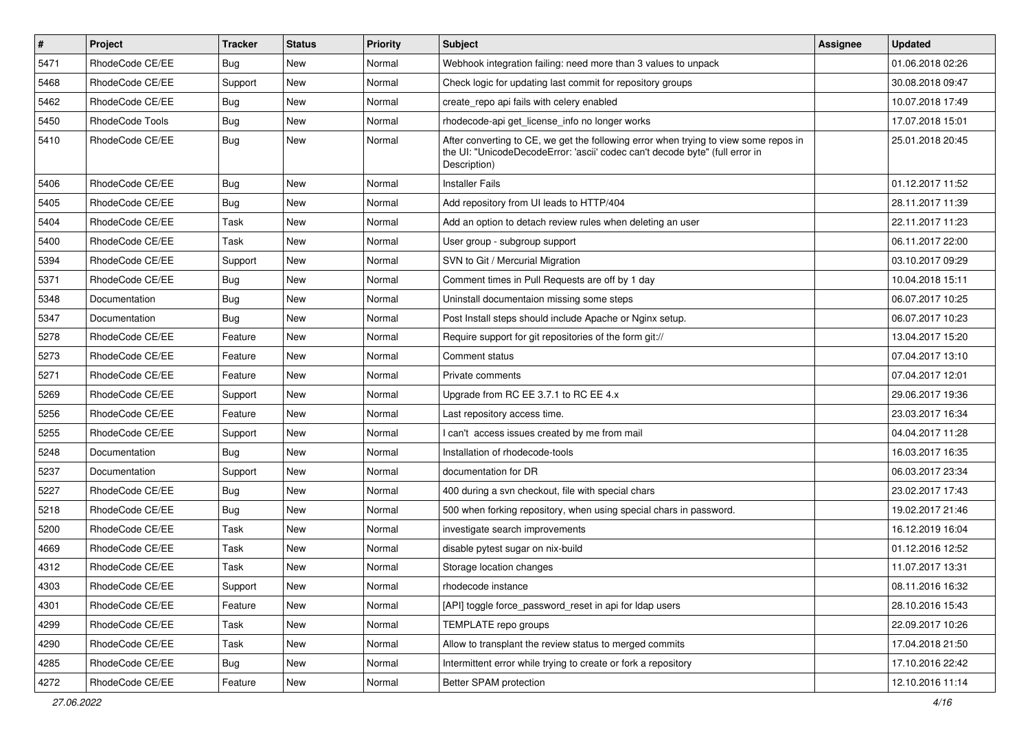| $\pmb{\#}$ | Project         | <b>Tracker</b> | <b>Status</b> | <b>Priority</b> | <b>Subject</b>                                                                                                                                                                       | Assignee | <b>Updated</b>   |
|------------|-----------------|----------------|---------------|-----------------|--------------------------------------------------------------------------------------------------------------------------------------------------------------------------------------|----------|------------------|
| 5471       | RhodeCode CE/EE | Bug            | New           | Normal          | Webhook integration failing: need more than 3 values to unpack                                                                                                                       |          | 01.06.2018 02:26 |
| 5468       | RhodeCode CE/EE | Support        | <b>New</b>    | Normal          | Check logic for updating last commit for repository groups                                                                                                                           |          | 30.08.2018 09:47 |
| 5462       | RhodeCode CE/EE | Bug            | New           | Normal          | create repo api fails with celery enabled                                                                                                                                            |          | 10.07.2018 17:49 |
| 5450       | RhodeCode Tools | Bug            | New           | Normal          | rhodecode-api get_license_info no longer works                                                                                                                                       |          | 17.07.2018 15:01 |
| 5410       | RhodeCode CE/EE | <b>Bug</b>     | <b>New</b>    | Normal          | After converting to CE, we get the following error when trying to view some repos in<br>the UI: "UnicodeDecodeError: 'ascii' codec can't decode byte" (full error in<br>Description) |          | 25.01.2018 20:45 |
| 5406       | RhodeCode CE/EE | Bug            | New           | Normal          | <b>Installer Fails</b>                                                                                                                                                               |          | 01.12.2017 11:52 |
| 5405       | RhodeCode CE/EE | <b>Bug</b>     | <b>New</b>    | Normal          | Add repository from UI leads to HTTP/404                                                                                                                                             |          | 28.11.2017 11:39 |
| 5404       | RhodeCode CE/EE | Task           | New           | Normal          | Add an option to detach review rules when deleting an user                                                                                                                           |          | 22.11.2017 11:23 |
| 5400       | RhodeCode CE/EE | Task           | New           | Normal          | User group - subgroup support                                                                                                                                                        |          | 06.11.2017 22:00 |
| 5394       | RhodeCode CE/EE | Support        | New           | Normal          | SVN to Git / Mercurial Migration                                                                                                                                                     |          | 03.10.2017 09:29 |
| 5371       | RhodeCode CE/EE | Bug            | <b>New</b>    | Normal          | Comment times in Pull Requests are off by 1 day                                                                                                                                      |          | 10.04.2018 15:11 |
| 5348       | Documentation   | <b>Bug</b>     | New           | Normal          | Uninstall documentaion missing some steps                                                                                                                                            |          | 06.07.2017 10:25 |
| 5347       | Documentation   | Bug            | <b>New</b>    | Normal          | Post Install steps should include Apache or Nginx setup.                                                                                                                             |          | 06.07.2017 10:23 |
| 5278       | RhodeCode CE/EE | Feature        | New           | Normal          | Require support for git repositories of the form git://                                                                                                                              |          | 13.04.2017 15:20 |
| 5273       | RhodeCode CE/EE | Feature        | New           | Normal          | Comment status                                                                                                                                                                       |          | 07.04.2017 13:10 |
| 5271       | RhodeCode CE/EE | Feature        | <b>New</b>    | Normal          | Private comments                                                                                                                                                                     |          | 07.04.2017 12:01 |
| 5269       | RhodeCode CE/EE | Support        | New           | Normal          | Upgrade from RC EE 3.7.1 to RC EE 4.x                                                                                                                                                |          | 29.06.2017 19:36 |
| 5256       | RhodeCode CE/EE | Feature        | New           | Normal          | Last repository access time.                                                                                                                                                         |          | 23.03.2017 16:34 |
| 5255       | RhodeCode CE/EE | Support        | New           | Normal          | I can't access issues created by me from mail                                                                                                                                        |          | 04.04.2017 11:28 |
| 5248       | Documentation   | Bug            | New           | Normal          | Installation of rhodecode-tools                                                                                                                                                      |          | 16.03.2017 16:35 |
| 5237       | Documentation   | Support        | <b>New</b>    | Normal          | documentation for DR                                                                                                                                                                 |          | 06.03.2017 23:34 |
| 5227       | RhodeCode CE/EE | Bug            | New           | Normal          | 400 during a svn checkout, file with special chars                                                                                                                                   |          | 23.02.2017 17:43 |
| 5218       | RhodeCode CE/EE | Bug            | New           | Normal          | 500 when forking repository, when using special chars in password.                                                                                                                   |          | 19.02.2017 21:46 |
| 5200       | RhodeCode CE/EE | <b>Task</b>    | <b>New</b>    | Normal          | investigate search improvements                                                                                                                                                      |          | 16.12.2019 16:04 |
| 4669       | RhodeCode CE/EE | Task           | New           | Normal          | disable pytest sugar on nix-build                                                                                                                                                    |          | 01.12.2016 12:52 |
| 4312       | RhodeCode CE/EE | Task           | <b>New</b>    | Normal          | Storage location changes                                                                                                                                                             |          | 11.07.2017 13:31 |
| 4303       | RhodeCode CE/EE | Support        | New           | Normal          | rhodecode instance                                                                                                                                                                   |          | 08.11.2016 16:32 |
| 4301       | RhodeCode CE/EE | Feature        | <b>New</b>    | Normal          | [API] toggle force_password_reset in api for Idap users                                                                                                                              |          | 28.10.2016 15:43 |
| 4299       | RhodeCode CE/EE | Task           | New           | Normal          | TEMPLATE repo groups                                                                                                                                                                 |          | 22.09.2017 10:26 |
| 4290       | RhodeCode CE/EE | Task           | New           | Normal          | Allow to transplant the review status to merged commits                                                                                                                              |          | 17.04.2018 21:50 |
| 4285       | RhodeCode CE/EE | Bug            | New           | Normal          | Intermittent error while trying to create or fork a repository                                                                                                                       |          | 17.10.2016 22:42 |
| 4272       | RhodeCode CE/EE | Feature        | New           | Normal          | Better SPAM protection                                                                                                                                                               |          | 12.10.2016 11:14 |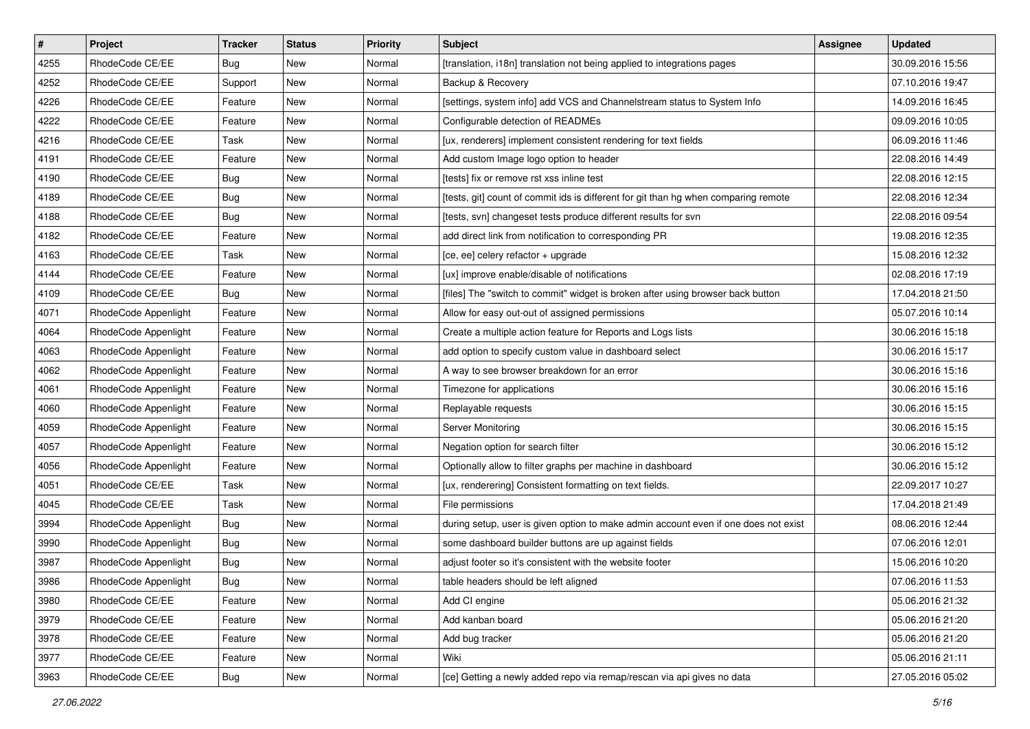| $\pmb{\#}$ | Project              | <b>Tracker</b> | <b>Status</b> | Priority | <b>Subject</b>                                                                      | Assignee | <b>Updated</b>   |
|------------|----------------------|----------------|---------------|----------|-------------------------------------------------------------------------------------|----------|------------------|
| 4255       | RhodeCode CE/EE      | <b>Bug</b>     | New           | Normal   | [translation, i18n] translation not being applied to integrations pages             |          | 30.09.2016 15:56 |
| 4252       | RhodeCode CE/EE      | Support        | New           | Normal   | Backup & Recovery                                                                   |          | 07.10.2016 19:47 |
| 4226       | RhodeCode CE/EE      | Feature        | New           | Normal   | [settings, system info] add VCS and Channelstream status to System Info             |          | 14.09.2016 16:45 |
| 4222       | RhodeCode CE/EE      | Feature        | New           | Normal   | Configurable detection of READMEs                                                   |          | 09.09.2016 10:05 |
| 4216       | RhodeCode CE/EE      | Task           | <b>New</b>    | Normal   | [ux, renderers] implement consistent rendering for text fields                      |          | 06.09.2016 11:46 |
| 4191       | RhodeCode CE/EE      | Feature        | New           | Normal   | Add custom Image logo option to header                                              |          | 22.08.2016 14:49 |
| 4190       | RhodeCode CE/EE      | Bug            | New           | Normal   | [tests] fix or remove rst xss inline test                                           |          | 22.08.2016 12:15 |
| 4189       | RhodeCode CE/EE      | Bug            | New           | Normal   | [tests, git] count of commit ids is different for git than hg when comparing remote |          | 22.08.2016 12:34 |
| 4188       | RhodeCode CE/EE      | <b>Bug</b>     | New           | Normal   | [tests, svn] changeset tests produce different results for svn                      |          | 22.08.2016 09:54 |
| 4182       | RhodeCode CE/EE      | Feature        | New           | Normal   | add direct link from notification to corresponding PR                               |          | 19.08.2016 12:35 |
| 4163       | RhodeCode CE/EE      | Task           | New           | Normal   | [ce, ee] celery refactor + upgrade                                                  |          | 15.08.2016 12:32 |
| 4144       | RhodeCode CE/EE      | Feature        | New           | Normal   | [ux] improve enable/disable of notifications                                        |          | 02.08.2016 17:19 |
| 4109       | RhodeCode CE/EE      | Bug            | New           | Normal   | [files] The "switch to commit" widget is broken after using browser back button     |          | 17.04.2018 21:50 |
| 4071       | RhodeCode Appenlight | Feature        | New           | Normal   | Allow for easy out-out of assigned permissions                                      |          | 05.07.2016 10:14 |
| 4064       | RhodeCode Appenlight | Feature        | New           | Normal   | Create a multiple action feature for Reports and Logs lists                         |          | 30.06.2016 15:18 |
| 4063       | RhodeCode Appenlight | Feature        | New           | Normal   | add option to specify custom value in dashboard select                              |          | 30.06.2016 15:17 |
| 4062       | RhodeCode Appenlight | Feature        | New           | Normal   | A way to see browser breakdown for an error                                         |          | 30.06.2016 15:16 |
| 4061       | RhodeCode Appenlight | Feature        | <b>New</b>    | Normal   | Timezone for applications                                                           |          | 30.06.2016 15:16 |
| 4060       | RhodeCode Appenlight | Feature        | New           | Normal   | Replayable requests                                                                 |          | 30.06.2016 15:15 |
| 4059       | RhodeCode Appenlight | Feature        | New           | Normal   | Server Monitoring                                                                   |          | 30.06.2016 15:15 |
| 4057       | RhodeCode Appenlight | Feature        | New           | Normal   | Negation option for search filter                                                   |          | 30.06.2016 15:12 |
| 4056       | RhodeCode Appenlight | Feature        | New           | Normal   | Optionally allow to filter graphs per machine in dashboard                          |          | 30.06.2016 15:12 |
| 4051       | RhodeCode CE/EE      | Task           | <b>New</b>    | Normal   | [ux, renderering] Consistent formatting on text fields.                             |          | 22.09.2017 10:27 |
| 4045       | RhodeCode CE/EE      | Task           | New           | Normal   | File permissions                                                                    |          | 17.04.2018 21:49 |
| 3994       | RhodeCode Appenlight | Bug            | New           | Normal   | during setup, user is given option to make admin account even if one does not exist |          | 08.06.2016 12:44 |
| 3990       | RhodeCode Appenlight | Bug            | New           | Normal   | some dashboard builder buttons are up against fields                                |          | 07.06.2016 12:01 |
| 3987       | RhodeCode Appenlight | Bug            | New           | Normal   | adjust footer so it's consistent with the website footer                            |          | 15.06.2016 10:20 |
| 3986       | RhodeCode Appenlight | <b>Bug</b>     | New           | Normal   | table headers should be left aligned                                                |          | 07.06.2016 11:53 |
| 3980       | RhodeCode CE/EE      | Feature        | New           | Normal   | Add CI engine                                                                       |          | 05.06.2016 21:32 |
| 3979       | RhodeCode CE/EE      | Feature        | New           | Normal   | Add kanban board                                                                    |          | 05.06.2016 21:20 |
| 3978       | RhodeCode CE/EE      | Feature        | New           | Normal   | Add bug tracker                                                                     |          | 05.06.2016 21:20 |
| 3977       | RhodeCode CE/EE      | Feature        | New           | Normal   | Wiki                                                                                |          | 05.06.2016 21:11 |
| 3963       | RhodeCode CE/EE      | Bug            | New           | Normal   | [ce] Getting a newly added repo via remap/rescan via api gives no data              |          | 27.05.2016 05:02 |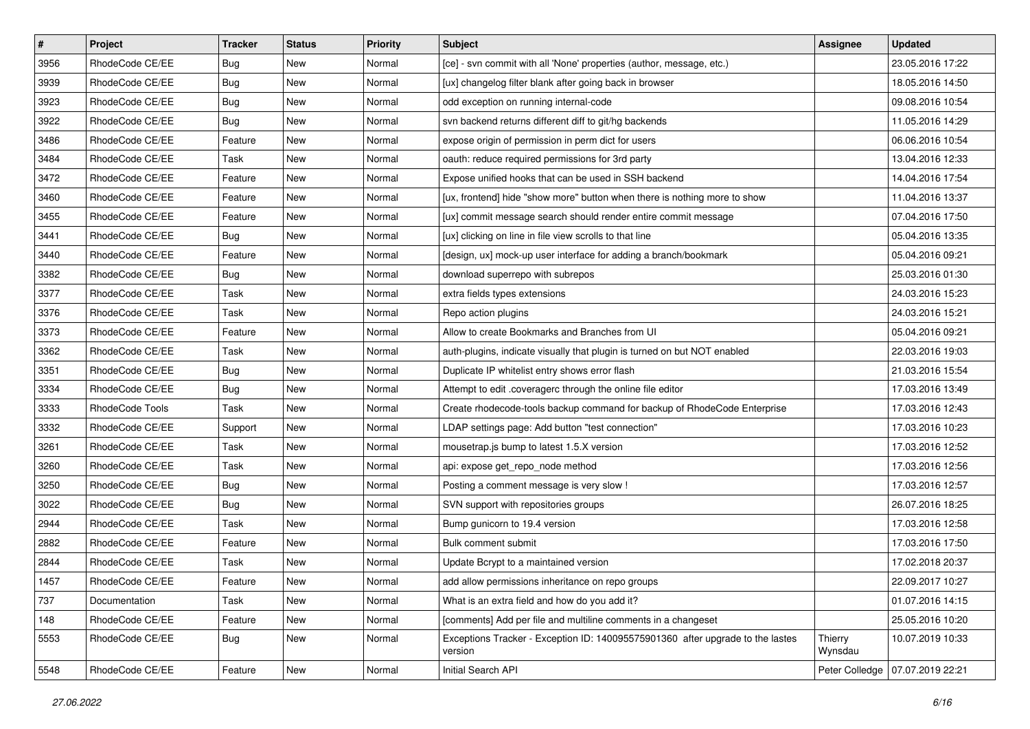| $\vert$ # | Project         | Tracker    | <b>Status</b> | <b>Priority</b> | <b>Subject</b>                                                                            | <b>Assignee</b>    | <b>Updated</b>   |
|-----------|-----------------|------------|---------------|-----------------|-------------------------------------------------------------------------------------------|--------------------|------------------|
| 3956      | RhodeCode CE/EE | <b>Bug</b> | New           | Normal          | [ce] - svn commit with all 'None' properties (author, message, etc.)                      |                    | 23.05.2016 17:22 |
| 3939      | RhodeCode CE/EE | Bug        | New           | Normal          | [ux] changelog filter blank after going back in browser                                   |                    | 18.05.2016 14:50 |
| 3923      | RhodeCode CE/EE | <b>Bug</b> | New           | Normal          | odd exception on running internal-code                                                    |                    | 09.08.2016 10:54 |
| 3922      | RhodeCode CE/EE | <b>Bug</b> | New           | Normal          | svn backend returns different diff to git/hg backends                                     |                    | 11.05.2016 14:29 |
| 3486      | RhodeCode CE/EE | Feature    | New           | Normal          | expose origin of permission in perm dict for users                                        |                    | 06.06.2016 10:54 |
| 3484      | RhodeCode CE/EE | Task       | New           | Normal          | oauth: reduce required permissions for 3rd party                                          |                    | 13.04.2016 12:33 |
| 3472      | RhodeCode CE/EE | Feature    | New           | Normal          | Expose unified hooks that can be used in SSH backend                                      |                    | 14.04.2016 17:54 |
| 3460      | RhodeCode CE/EE | Feature    | New           | Normal          | [ux, frontend] hide "show more" button when there is nothing more to show                 |                    | 11.04.2016 13:37 |
| 3455      | RhodeCode CE/EE | Feature    | New           | Normal          | [ux] commit message search should render entire commit message                            |                    | 07.04.2016 17:50 |
| 3441      | RhodeCode CE/EE | <b>Bug</b> | New           | Normal          | [ux] clicking on line in file view scrolls to that line                                   |                    | 05.04.2016 13:35 |
| 3440      | RhodeCode CE/EE | Feature    | New           | Normal          | [design, ux] mock-up user interface for adding a branch/bookmark                          |                    | 05.04.2016 09:21 |
| 3382      | RhodeCode CE/EE | Bug        | New           | Normal          | download superrepo with subrepos                                                          |                    | 25.03.2016 01:30 |
| 3377      | RhodeCode CE/EE | Task       | New           | Normal          | extra fields types extensions                                                             |                    | 24.03.2016 15:23 |
| 3376      | RhodeCode CE/EE | Task       | New           | Normal          | Repo action plugins                                                                       |                    | 24.03.2016 15:21 |
| 3373      | RhodeCode CE/EE | Feature    | New           | Normal          | Allow to create Bookmarks and Branches from UI                                            |                    | 05.04.2016 09:21 |
| 3362      | RhodeCode CE/EE | Task       | New           | Normal          | auth-plugins, indicate visually that plugin is turned on but NOT enabled                  |                    | 22.03.2016 19:03 |
| 3351      | RhodeCode CE/EE | <b>Bug</b> | New           | Normal          | Duplicate IP whitelist entry shows error flash                                            |                    | 21.03.2016 15:54 |
| 3334      | RhodeCode CE/EE | Bug        | New           | Normal          | Attempt to edit .coveragerc through the online file editor                                |                    | 17.03.2016 13:49 |
| 3333      | RhodeCode Tools | Task       | New           | Normal          | Create rhodecode-tools backup command for backup of RhodeCode Enterprise                  |                    | 17.03.2016 12:43 |
| 3332      | RhodeCode CE/EE | Support    | New           | Normal          | LDAP settings page: Add button "test connection"                                          |                    | 17.03.2016 10:23 |
| 3261      | RhodeCode CE/EE | Task       | New           | Normal          | mousetrap.js bump to latest 1.5.X version                                                 |                    | 17.03.2016 12:52 |
| 3260      | RhodeCode CE/EE | Task       | New           | Normal          | api: expose get_repo_node method                                                          |                    | 17.03.2016 12:56 |
| 3250      | RhodeCode CE/EE | Bug        | New           | Normal          | Posting a comment message is very slow !                                                  |                    | 17.03.2016 12:57 |
| 3022      | RhodeCode CE/EE | <b>Bug</b> | New           | Normal          | SVN support with repositories groups                                                      |                    | 26.07.2016 18:25 |
| 2944      | RhodeCode CE/EE | Task       | New           | Normal          | Bump gunicorn to 19.4 version                                                             |                    | 17.03.2016 12:58 |
| 2882      | RhodeCode CE/EE | Feature    | New           | Normal          | Bulk comment submit                                                                       |                    | 17.03.2016 17:50 |
| 2844      | RhodeCode CE/EE | Task       | New           | Normal          | Update Bcrypt to a maintained version                                                     |                    | 17.02.2018 20:37 |
| 1457      | RhodeCode CE/EE | Feature    | New           | Normal          | add allow permissions inheritance on repo groups                                          |                    | 22.09.2017 10:27 |
| 737       | Documentation   | Task       | New           | Normal          | What is an extra field and how do you add it?                                             |                    | 01.07.2016 14:15 |
| 148       | RhodeCode CE/EE | Feature    | New           | Normal          | [comments] Add per file and multiline comments in a changeset                             |                    | 25.05.2016 10:20 |
| 5553      | RhodeCode CE/EE | Bug        | New           | Normal          | Exceptions Tracker - Exception ID: 140095575901360 after upgrade to the lastes<br>version | Thierry<br>Wynsdau | 10.07.2019 10:33 |
| 5548      | RhodeCode CE/EE | Feature    | New           | Normal          | Initial Search API                                                                        | Peter Colledge     | 07.07.2019 22:21 |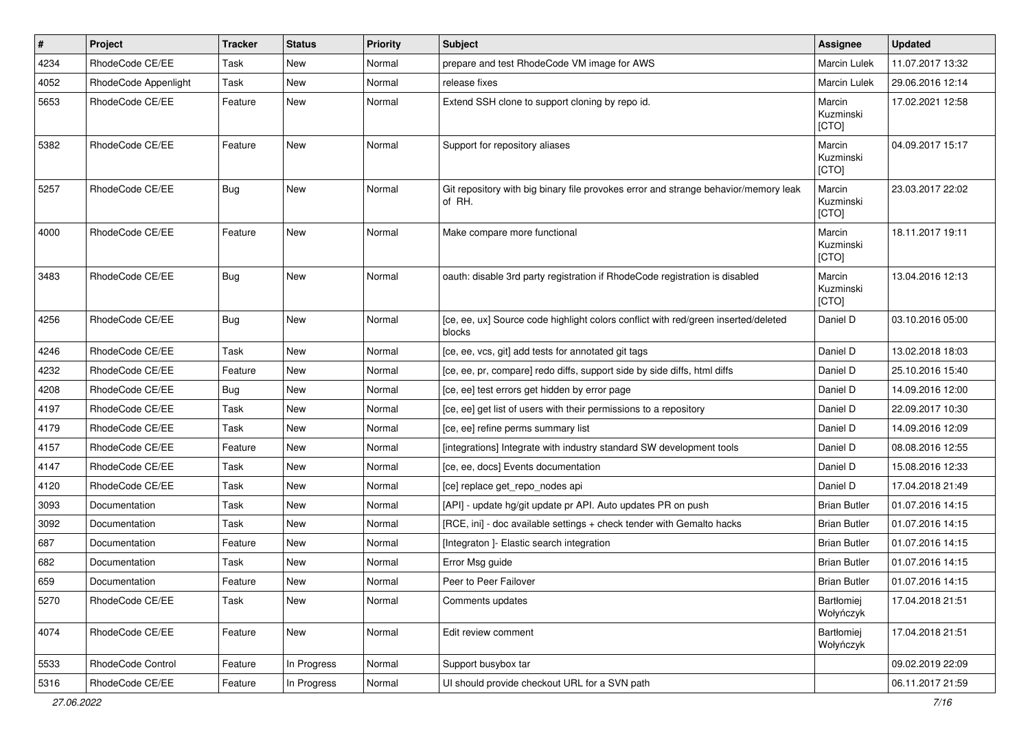| $\pmb{\#}$ | Project              | <b>Tracker</b> | <b>Status</b> | <b>Priority</b> | <b>Subject</b>                                                                                | Assignee                     | <b>Updated</b>   |
|------------|----------------------|----------------|---------------|-----------------|-----------------------------------------------------------------------------------------------|------------------------------|------------------|
| 4234       | RhodeCode CE/EE      | Task           | New           | Normal          | prepare and test RhodeCode VM image for AWS                                                   | Marcin Lulek                 | 11.07.2017 13:32 |
| 4052       | RhodeCode Appenlight | Task           | New           | Normal          | release fixes                                                                                 | Marcin Lulek                 | 29.06.2016 12:14 |
| 5653       | RhodeCode CE/EE      | Feature        | New           | Normal          | Extend SSH clone to support cloning by repo id.                                               | Marcin<br>Kuzminski<br>[CTO] | 17.02.2021 12:58 |
| 5382       | RhodeCode CE/EE      | Feature        | <b>New</b>    | Normal          | Support for repository aliases                                                                | Marcin<br>Kuzminski<br>[CTO] | 04.09.2017 15:17 |
| 5257       | RhodeCode CE/EE      | Bug            | <b>New</b>    | Normal          | Git repository with big binary file provokes error and strange behavior/memory leak<br>of RH. | Marcin<br>Kuzminski<br>[CTO] | 23.03.2017 22:02 |
| 4000       | RhodeCode CE/EE      | Feature        | <b>New</b>    | Normal          | Make compare more functional                                                                  | Marcin<br>Kuzminski<br>[CTO] | 18.11.2017 19:11 |
| 3483       | RhodeCode CE/EE      | Bug            | <b>New</b>    | Normal          | oauth: disable 3rd party registration if RhodeCode registration is disabled                   | Marcin<br>Kuzminski<br>[CTO] | 13.04.2016 12:13 |
| 4256       | RhodeCode CE/EE      | Bug            | New           | Normal          | [ce, ee, ux] Source code highlight colors conflict with red/green inserted/deleted<br>blocks  | Daniel D                     | 03.10.2016 05:00 |
| 4246       | RhodeCode CE/EE      | Task           | New           | Normal          | [ce, ee, vcs, git] add tests for annotated git tags                                           | Daniel D                     | 13.02.2018 18:03 |
| 4232       | RhodeCode CE/EE      | Feature        | New           | Normal          | [ce, ee, pr, compare] redo diffs, support side by side diffs, html diffs                      | Daniel D                     | 25.10.2016 15:40 |
| 4208       | RhodeCode CE/EE      | Bug            | <b>New</b>    | Normal          | [ce, ee] test errors get hidden by error page                                                 | Daniel D                     | 14.09.2016 12:00 |
| 4197       | RhodeCode CE/EE      | Task           | New           | Normal          | [ce, ee] get list of users with their permissions to a repository                             | Daniel D                     | 22.09.2017 10:30 |
| 4179       | RhodeCode CE/EE      | Task           | New           | Normal          | [ce, ee] refine perms summary list                                                            | Daniel D                     | 14.09.2016 12:09 |
| 4157       | RhodeCode CE/EE      | Feature        | New           | Normal          | [integrations] Integrate with industry standard SW development tools                          | Daniel D                     | 08.08.2016 12:55 |
| 4147       | RhodeCode CE/EE      | Task           | New           | Normal          | [ce, ee, docs] Events documentation                                                           | Daniel D                     | 15.08.2016 12:33 |
| 4120       | RhodeCode CE/EE      | Task           | <b>New</b>    | Normal          | [ce] replace get_repo_nodes api                                                               | Daniel D                     | 17.04.2018 21:49 |
| 3093       | Documentation        | Task           | New           | Normal          | [API] - update hg/git update pr API. Auto updates PR on push                                  | <b>Brian Butler</b>          | 01.07.2016 14:15 |
| 3092       | Documentation        | Task           | New           | Normal          | [RCE, ini] - doc available settings + check tender with Gemalto hacks                         | <b>Brian Butler</b>          | 01.07.2016 14:15 |
| 687        | Documentation        | Feature        | New           | Normal          | [Integraton ]- Elastic search integration                                                     | <b>Brian Butler</b>          | 01.07.2016 14:15 |
| 682        | Documentation        | Task           | New           | Normal          | Error Msg guide                                                                               | <b>Brian Butler</b>          | 01.07.2016 14:15 |
| 659        | Documentation        | Feature        | New           | Normal          | Peer to Peer Failover                                                                         | <b>Brian Butler</b>          | 01.07.2016 14:15 |
| 5270       | RhodeCode CE/EE      | Task           | New           | Normal          | Comments updates                                                                              | Bartłomiej<br>Wołyńczyk      | 17.04.2018 21:51 |
| 4074       | RhodeCode CE/EE      | Feature        | New           | Normal          | Edit review comment                                                                           | Bartłomiej<br>Wołyńczyk      | 17.04.2018 21:51 |
| 5533       | RhodeCode Control    | Feature        | In Progress   | Normal          | Support busybox tar                                                                           |                              | 09.02.2019 22:09 |
| 5316       | RhodeCode CE/EE      | Feature        | In Progress   | Normal          | UI should provide checkout URL for a SVN path                                                 |                              | 06.11.2017 21:59 |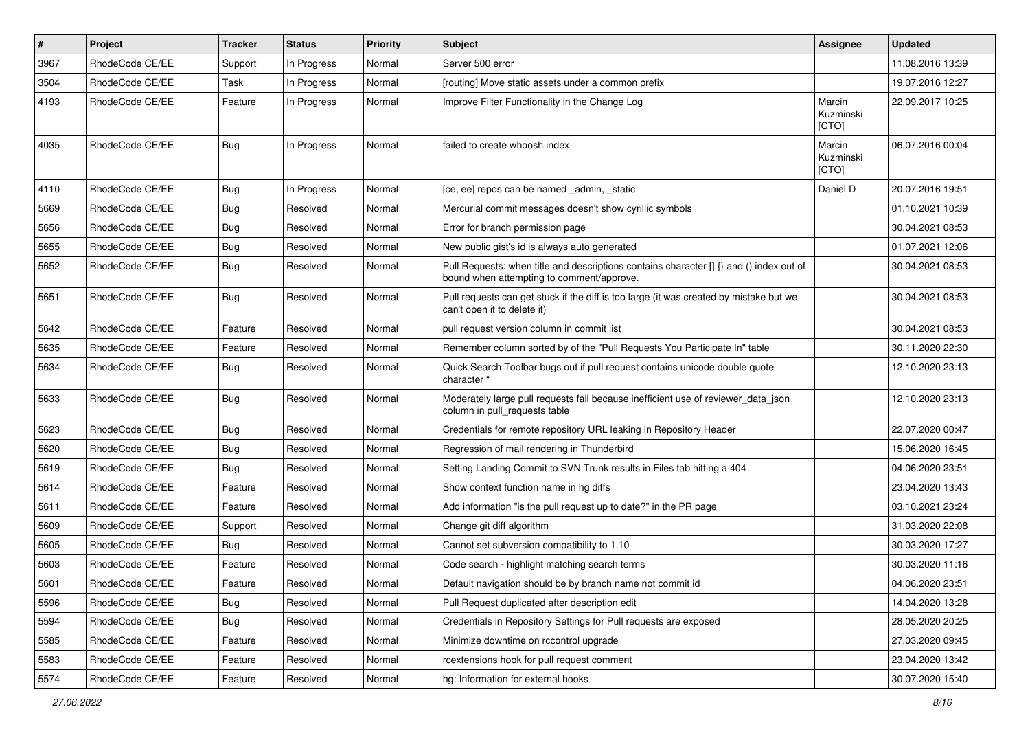| #    | Project         | <b>Tracker</b> | <b>Status</b> | <b>Priority</b> | Subject                                                                                                                              | <b>Assignee</b>              | <b>Updated</b>   |
|------|-----------------|----------------|---------------|-----------------|--------------------------------------------------------------------------------------------------------------------------------------|------------------------------|------------------|
| 3967 | RhodeCode CE/EE | Support        | In Progress   | Normal          | Server 500 error                                                                                                                     |                              | 11.08.2016 13:39 |
| 3504 | RhodeCode CE/EE | Task           | In Progress   | Normal          | [routing] Move static assets under a common prefix                                                                                   |                              | 19.07.2016 12:27 |
| 4193 | RhodeCode CE/EE | Feature        | In Progress   | Normal          | Improve Filter Functionality in the Change Log                                                                                       | Marcin<br>Kuzminski<br>[CTO] | 22.09.2017 10:25 |
| 4035 | RhodeCode CE/EE | Bug            | In Progress   | Normal          | failed to create whoosh index                                                                                                        | Marcin<br>Kuzminski<br>[CTO] | 06.07.2016 00:04 |
| 4110 | RhodeCode CE/EE | Bug            | In Progress   | Normal          | [ce, ee] repos can be named admin, static                                                                                            | Daniel D                     | 20.07.2016 19:51 |
| 5669 | RhodeCode CE/EE | <b>Bug</b>     | Resolved      | Normal          | Mercurial commit messages doesn't show cyrillic symbols                                                                              |                              | 01.10.2021 10:39 |
| 5656 | RhodeCode CE/EE | Bug            | Resolved      | Normal          | Error for branch permission page                                                                                                     |                              | 30.04.2021 08:53 |
| 5655 | RhodeCode CE/EE | Bug            | Resolved      | Normal          | New public gist's id is always auto generated                                                                                        |                              | 01.07.2021 12:06 |
| 5652 | RhodeCode CE/EE | Bug            | Resolved      | Normal          | Pull Requests: when title and descriptions contains character [] {} and () index out of<br>bound when attempting to comment/approve. |                              | 30.04.2021 08:53 |
| 5651 | RhodeCode CE/EE | Bug            | Resolved      | Normal          | Pull requests can get stuck if the diff is too large (it was created by mistake but we<br>can't open it to delete it)                |                              | 30.04.2021 08:53 |
| 5642 | RhodeCode CE/EE | Feature        | Resolved      | Normal          | pull request version column in commit list                                                                                           |                              | 30.04.2021 08:53 |
| 5635 | RhodeCode CE/EE | Feature        | Resolved      | Normal          | Remember column sorted by of the "Pull Requests You Participate In" table                                                            |                              | 30.11.2020 22:30 |
| 5634 | RhodeCode CE/EE | <b>Bug</b>     | Resolved      | Normal          | Quick Search Toolbar bugs out if pull request contains unicode double quote<br>character "                                           |                              | 12.10.2020 23:13 |
| 5633 | RhodeCode CE/EE | Bug            | Resolved      | Normal          | Moderately large pull requests fail because inefficient use of reviewer_data_json<br>column in pull_requests table                   |                              | 12.10.2020 23:13 |
| 5623 | RhodeCode CE/EE | Bug            | Resolved      | Normal          | Credentials for remote repository URL leaking in Repository Header                                                                   |                              | 22.07.2020 00:47 |
| 5620 | RhodeCode CE/EE | <b>Bug</b>     | Resolved      | Normal          | Regression of mail rendering in Thunderbird                                                                                          |                              | 15.06.2020 16:45 |
| 5619 | RhodeCode CE/EE | Bug            | Resolved      | Normal          | Setting Landing Commit to SVN Trunk results in Files tab hitting a 404                                                               |                              | 04.06.2020 23:51 |
| 5614 | RhodeCode CE/EE | Feature        | Resolved      | Normal          | Show context function name in hg diffs                                                                                               |                              | 23.04.2020 13:43 |
| 5611 | RhodeCode CE/EE | Feature        | Resolved      | Normal          | Add information "is the pull request up to date?" in the PR page                                                                     |                              | 03.10.2021 23:24 |
| 5609 | RhodeCode CE/EE | Support        | Resolved      | Normal          | Change git diff algorithm                                                                                                            |                              | 31.03.2020 22:08 |
| 5605 | RhodeCode CE/EE | Bug            | Resolved      | Normal          | Cannot set subversion compatibility to 1.10                                                                                          |                              | 30.03.2020 17:27 |
| 5603 | RhodeCode CE/EE | Feature        | Resolved      | Normal          | Code search - highlight matching search terms                                                                                        |                              | 30.03.2020 11:16 |
| 5601 | RhodeCode CE/EE | Feature        | Resolved      | Normal          | Default navigation should be by branch name not commit id                                                                            |                              | 04.06.2020 23:51 |
| 5596 | RhodeCode CE/EE | Bug            | Resolved      | Normal          | Pull Request duplicated after description edit                                                                                       |                              | 14.04.2020 13:28 |
| 5594 | RhodeCode CE/EE | <b>Bug</b>     | Resolved      | Normal          | Credentials in Repository Settings for Pull requests are exposed                                                                     |                              | 28.05.2020 20:25 |
| 5585 | RhodeCode CE/EE | Feature        | Resolved      | Normal          | Minimize downtime on rccontrol upgrade                                                                                               |                              | 27.03.2020 09:45 |
| 5583 | RhodeCode CE/EE | Feature        | Resolved      | Normal          | rcextensions hook for pull request comment                                                                                           |                              | 23.04.2020 13:42 |
| 5574 | RhodeCode CE/EE | Feature        | Resolved      | Normal          | hg: Information for external hooks                                                                                                   |                              | 30.07.2020 15:40 |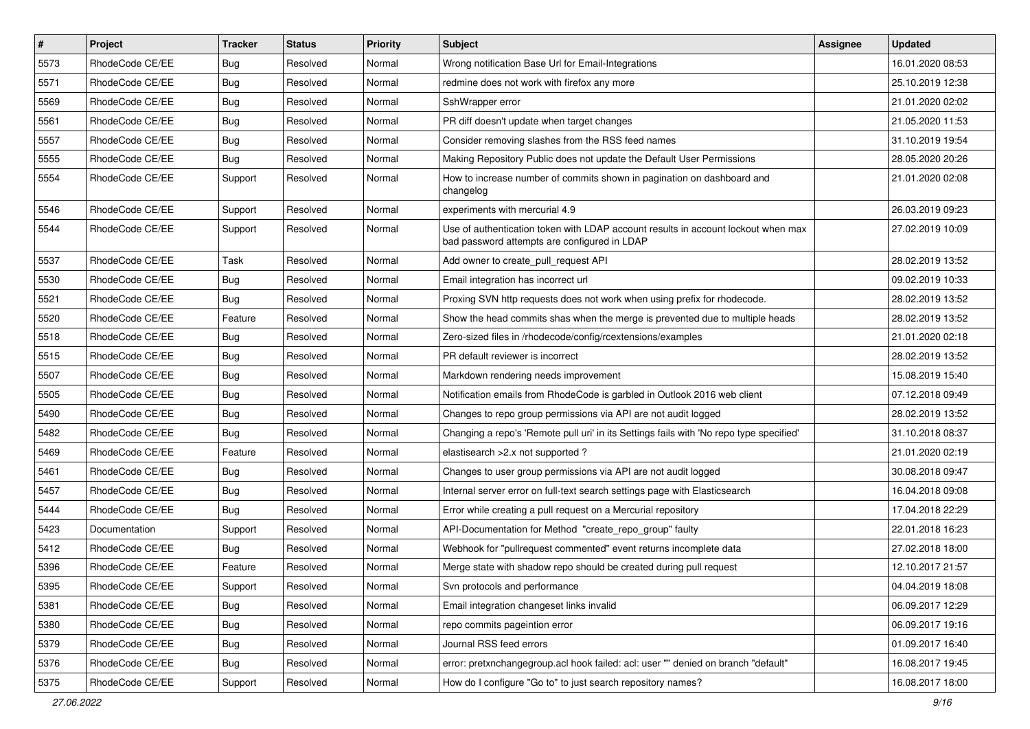| $\vert$ # | Project         | <b>Tracker</b> | <b>Status</b> | <b>Priority</b> | Subject                                                                                                                           | <b>Assignee</b> | <b>Updated</b>   |
|-----------|-----------------|----------------|---------------|-----------------|-----------------------------------------------------------------------------------------------------------------------------------|-----------------|------------------|
| 5573      | RhodeCode CE/EE | <b>Bug</b>     | Resolved      | Normal          | Wrong notification Base Url for Email-Integrations                                                                                |                 | 16.01.2020 08:53 |
| 5571      | RhodeCode CE/EE | <b>Bug</b>     | Resolved      | Normal          | redmine does not work with firefox any more                                                                                       |                 | 25.10.2019 12:38 |
| 5569      | RhodeCode CE/EE | <b>Bug</b>     | Resolved      | Normal          | SshWrapper error                                                                                                                  |                 | 21.01.2020 02:02 |
| 5561      | RhodeCode CE/EE | <b>Bug</b>     | Resolved      | Normal          | PR diff doesn't update when target changes                                                                                        |                 | 21.05.2020 11:53 |
| 5557      | RhodeCode CE/EE | Bug            | Resolved      | Normal          | Consider removing slashes from the RSS feed names                                                                                 |                 | 31.10.2019 19:54 |
| 5555      | RhodeCode CE/EE | Bug            | Resolved      | Normal          | Making Repository Public does not update the Default User Permissions                                                             |                 | 28.05.2020 20:26 |
| 5554      | RhodeCode CE/EE | Support        | Resolved      | Normal          | How to increase number of commits shown in pagination on dashboard and<br>changelog                                               |                 | 21.01.2020 02:08 |
| 5546      | RhodeCode CE/EE | Support        | Resolved      | Normal          | experiments with mercurial 4.9                                                                                                    |                 | 26.03.2019 09:23 |
| 5544      | RhodeCode CE/EE | Support        | Resolved      | Normal          | Use of authentication token with LDAP account results in account lockout when max<br>bad password attempts are configured in LDAP |                 | 27.02.2019 10:09 |
| 5537      | RhodeCode CE/EE | Task           | Resolved      | Normal          | Add owner to create_pull_request API                                                                                              |                 | 28.02.2019 13:52 |
| 5530      | RhodeCode CE/EE | Bug            | Resolved      | Normal          | Email integration has incorrect url                                                                                               |                 | 09.02.2019 10:33 |
| 5521      | RhodeCode CE/EE | <b>Bug</b>     | Resolved      | Normal          | Proxing SVN http requests does not work when using prefix for rhodecode.                                                          |                 | 28.02.2019 13:52 |
| 5520      | RhodeCode CE/EE | Feature        | Resolved      | Normal          | Show the head commits shas when the merge is prevented due to multiple heads                                                      |                 | 28.02.2019 13:52 |
| 5518      | RhodeCode CE/EE | Bug            | Resolved      | Normal          | Zero-sized files in /rhodecode/config/rcextensions/examples                                                                       |                 | 21.01.2020 02:18 |
| 5515      | RhodeCode CE/EE | <b>Bug</b>     | Resolved      | Normal          | PR default reviewer is incorrect                                                                                                  |                 | 28.02.2019 13:52 |
| 5507      | RhodeCode CE/EE | <b>Bug</b>     | Resolved      | Normal          | Markdown rendering needs improvement                                                                                              |                 | 15.08.2019 15:40 |
| 5505      | RhodeCode CE/EE | <b>Bug</b>     | Resolved      | Normal          | Notification emails from RhodeCode is garbled in Outlook 2016 web client                                                          |                 | 07.12.2018 09:49 |
| 5490      | RhodeCode CE/EE | <b>Bug</b>     | Resolved      | Normal          | Changes to repo group permissions via API are not audit logged                                                                    |                 | 28.02.2019 13:52 |
| 5482      | RhodeCode CE/EE | Bug            | Resolved      | Normal          | Changing a repo's 'Remote pull uri' in its Settings fails with 'No repo type specified'                                           |                 | 31.10.2018 08:37 |
| 5469      | RhodeCode CE/EE | Feature        | Resolved      | Normal          | elastisearch > 2.x not supported?                                                                                                 |                 | 21.01.2020 02:19 |
| 5461      | RhodeCode CE/EE | <b>Bug</b>     | Resolved      | Normal          | Changes to user group permissions via API are not audit logged                                                                    |                 | 30.08.2018 09:47 |
| 5457      | RhodeCode CE/EE | <b>Bug</b>     | Resolved      | Normal          | Internal server error on full-text search settings page with Elasticsearch                                                        |                 | 16.04.2018 09:08 |
| 5444      | RhodeCode CE/EE | <b>Bug</b>     | Resolved      | Normal          | Error while creating a pull request on a Mercurial repository                                                                     |                 | 17.04.2018 22:29 |
| 5423      | Documentation   | Support        | Resolved      | Normal          | API-Documentation for Method "create_repo_group" faulty                                                                           |                 | 22.01.2018 16:23 |
| 5412      | RhodeCode CE/EE | <b>Bug</b>     | Resolved      | Normal          | Webhook for "pullrequest commented" event returns incomplete data                                                                 |                 | 27.02.2018 18:00 |
| 5396      | RhodeCode CE/EE | Feature        | Resolved      | Normal          | Merge state with shadow repo should be created during pull request                                                                |                 | 12.10.2017 21:57 |
| 5395      | RhodeCode CE/EE | Support        | Resolved      | Normal          | Svn protocols and performance                                                                                                     |                 | 04.04.2019 18:08 |
| 5381      | RhodeCode CE/EE | Bug            | Resolved      | Normal          | Email integration changeset links invalid                                                                                         |                 | 06.09.2017 12:29 |
| 5380      | RhodeCode CE/EE | <b>Bug</b>     | Resolved      | Normal          | repo commits pageintion error                                                                                                     |                 | 06.09.2017 19:16 |
| 5379      | RhodeCode CE/EE | <b>Bug</b>     | Resolved      | Normal          | Journal RSS feed errors                                                                                                           |                 | 01.09.2017 16:40 |
| 5376      | RhodeCode CE/EE | Bug            | Resolved      | Normal          | error: pretxnchangegroup.acl hook failed: acl: user "" denied on branch "default"                                                 |                 | 16.08.2017 19:45 |
| 5375      | RhodeCode CE/EE | Support        | Resolved      | Normal          | How do I configure "Go to" to just search repository names?                                                                       |                 | 16.08.2017 18:00 |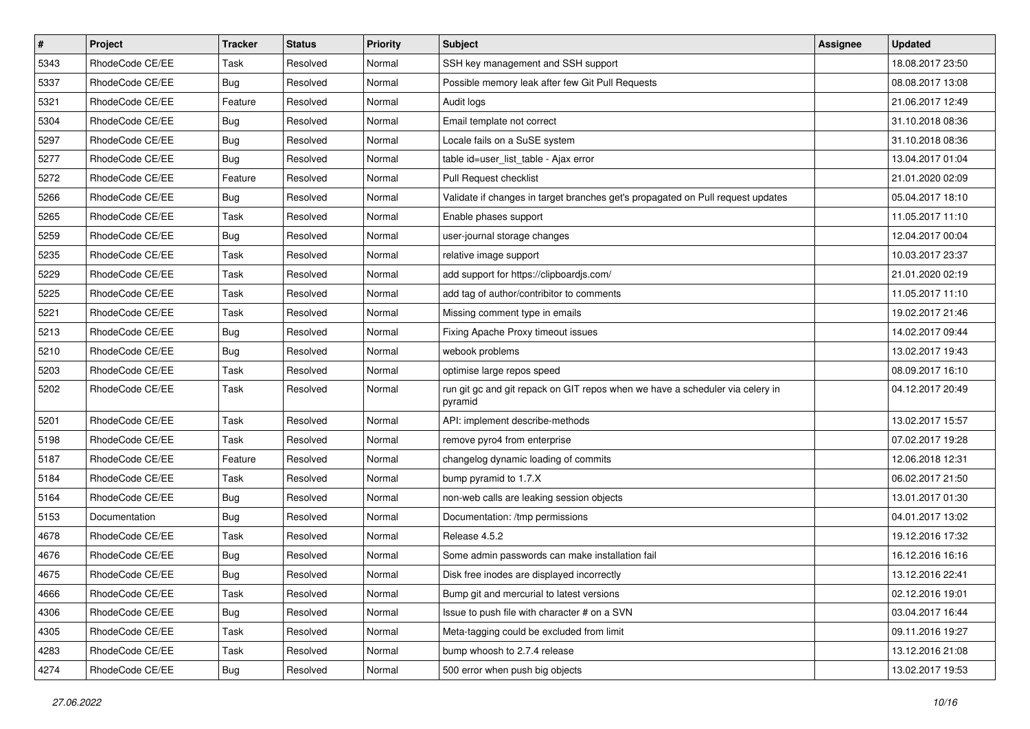| $\pmb{\#}$ | Project         | <b>Tracker</b> | <b>Status</b> | <b>Priority</b> | <b>Subject</b>                                                                           | Assignee | <b>Updated</b>   |
|------------|-----------------|----------------|---------------|-----------------|------------------------------------------------------------------------------------------|----------|------------------|
| 5343       | RhodeCode CE/EE | Task           | Resolved      | Normal          | SSH key management and SSH support                                                       |          | 18.08.2017 23:50 |
| 5337       | RhodeCode CE/EE | Bug            | Resolved      | Normal          | Possible memory leak after few Git Pull Requests                                         |          | 08.08.2017 13:08 |
| 5321       | RhodeCode CE/EE | Feature        | Resolved      | Normal          | Audit logs                                                                               |          | 21.06.2017 12:49 |
| 5304       | RhodeCode CE/EE | <b>Bug</b>     | Resolved      | Normal          | Email template not correct                                                               |          | 31.10.2018 08:36 |
| 5297       | RhodeCode CE/EE | Bug            | Resolved      | Normal          | Locale fails on a SuSE system                                                            |          | 31.10.2018 08:36 |
| 5277       | RhodeCode CE/EE | <b>Bug</b>     | Resolved      | Normal          | table id=user_list_table - Ajax error                                                    |          | 13.04.2017 01:04 |
| 5272       | RhodeCode CE/EE | Feature        | Resolved      | Normal          | Pull Request checklist                                                                   |          | 21.01.2020 02:09 |
| 5266       | RhodeCode CE/EE | Bug            | Resolved      | Normal          | Validate if changes in target branches get's propagated on Pull request updates          |          | 05.04.2017 18:10 |
| 5265       | RhodeCode CE/EE | Task           | Resolved      | Normal          | Enable phases support                                                                    |          | 11.05.2017 11:10 |
| 5259       | RhodeCode CE/EE | Bug            | Resolved      | Normal          | user-journal storage changes                                                             |          | 12.04.2017 00:04 |
| 5235       | RhodeCode CE/EE | Task           | Resolved      | Normal          | relative image support                                                                   |          | 10.03.2017 23:37 |
| 5229       | RhodeCode CE/EE | Task           | Resolved      | Normal          | add support for https://clipboardjs.com/                                                 |          | 21.01.2020 02:19 |
| 5225       | RhodeCode CE/EE | Task           | Resolved      | Normal          | add tag of author/contribitor to comments                                                |          | 11.05.2017 11:10 |
| 5221       | RhodeCode CE/EE | Task           | Resolved      | Normal          | Missing comment type in emails                                                           |          | 19.02.2017 21:46 |
| 5213       | RhodeCode CE/EE | <b>Bug</b>     | Resolved      | Normal          | Fixing Apache Proxy timeout issues                                                       |          | 14.02.2017 09:44 |
| 5210       | RhodeCode CE/EE | Bug            | Resolved      | Normal          | webook problems                                                                          |          | 13.02.2017 19:43 |
| 5203       | RhodeCode CE/EE | Task           | Resolved      | Normal          | optimise large repos speed                                                               |          | 08.09.2017 16:10 |
| 5202       | RhodeCode CE/EE | Task           | Resolved      | Normal          | run git gc and git repack on GIT repos when we have a scheduler via celery in<br>pyramid |          | 04.12.2017 20:49 |
| 5201       | RhodeCode CE/EE | Task           | Resolved      | Normal          | API: implement describe-methods                                                          |          | 13.02.2017 15:57 |
| 5198       | RhodeCode CE/EE | Task           | Resolved      | Normal          | remove pyro4 from enterprise                                                             |          | 07.02.2017 19:28 |
| 5187       | RhodeCode CE/EE | Feature        | Resolved      | Normal          | changelog dynamic loading of commits                                                     |          | 12.06.2018 12:31 |
| 5184       | RhodeCode CE/EE | Task           | Resolved      | Normal          | bump pyramid to 1.7.X                                                                    |          | 06.02.2017 21:50 |
| 5164       | RhodeCode CE/EE | Bug            | Resolved      | Normal          | non-web calls are leaking session objects                                                |          | 13.01.2017 01:30 |
| 5153       | Documentation   | Bug            | Resolved      | Normal          | Documentation: /tmp permissions                                                          |          | 04.01.2017 13:02 |
| 4678       | RhodeCode CE/EE | Task           | Resolved      | Normal          | Release 4.5.2                                                                            |          | 19.12.2016 17:32 |
| 4676       | RhodeCode CE/EE | <b>Bug</b>     | Resolved      | Normal          | Some admin passwords can make installation fail                                          |          | 16.12.2016 16:16 |
| 4675       | RhodeCode CE/EE | <b>Bug</b>     | Resolved      | Normal          | Disk free inodes are displayed incorrectly                                               |          | 13.12.2016 22:41 |
| 4666       | RhodeCode CE/EE | Task           | Resolved      | Normal          | Bump git and mercurial to latest versions                                                |          | 02.12.2016 19:01 |
| 4306       | RhodeCode CE/EE | Bug            | Resolved      | Normal          | Issue to push file with character # on a SVN                                             |          | 03.04.2017 16:44 |
| 4305       | RhodeCode CE/EE | Task           | Resolved      | Normal          | Meta-tagging could be excluded from limit                                                |          | 09.11.2016 19:27 |
| 4283       | RhodeCode CE/EE | Task           | Resolved      | Normal          | bump whoosh to 2.7.4 release                                                             |          | 13.12.2016 21:08 |
| 4274       | RhodeCode CE/EE | Bug            | Resolved      | Normal          | 500 error when push big objects                                                          |          | 13.02.2017 19:53 |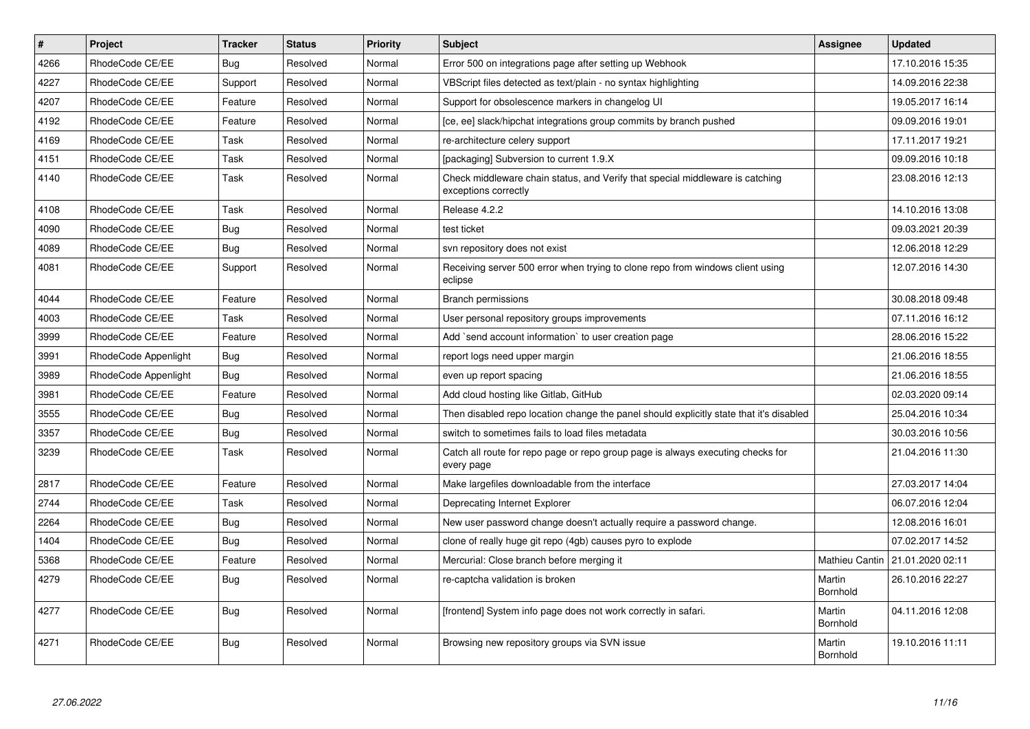| $\vert$ # | <b>Project</b>       | <b>Tracker</b> | <b>Status</b> | Priority | <b>Subject</b>                                                                                        | Assignee           | <b>Updated</b>   |
|-----------|----------------------|----------------|---------------|----------|-------------------------------------------------------------------------------------------------------|--------------------|------------------|
| 4266      | RhodeCode CE/EE      | Bug            | Resolved      | Normal   | Error 500 on integrations page after setting up Webhook                                               |                    | 17.10.2016 15:35 |
| 4227      | RhodeCode CE/EE      | Support        | Resolved      | Normal   | VBScript files detected as text/plain - no syntax highlighting                                        |                    | 14.09.2016 22:38 |
| 4207      | RhodeCode CE/EE      | Feature        | Resolved      | Normal   | Support for obsolescence markers in changelog UI                                                      |                    | 19.05.2017 16:14 |
| 4192      | RhodeCode CE/EE      | Feature        | Resolved      | Normal   | [ce, ee] slack/hipchat integrations group commits by branch pushed                                    |                    | 09.09.2016 19:01 |
| 4169      | RhodeCode CE/EE      | Task           | Resolved      | Normal   | re-architecture celery support                                                                        |                    | 17.11.2017 19:21 |
| 4151      | RhodeCode CE/EE      | Task           | Resolved      | Normal   | [packaging] Subversion to current 1.9.X                                                               |                    | 09.09.2016 10:18 |
| 4140      | RhodeCode CE/EE      | Task           | Resolved      | Normal   | Check middleware chain status, and Verify that special middleware is catching<br>exceptions correctly |                    | 23.08.2016 12:13 |
| 4108      | RhodeCode CE/EE      | Task           | Resolved      | Normal   | Release 4.2.2                                                                                         |                    | 14.10.2016 13:08 |
| 4090      | RhodeCode CE/EE      | Bug            | Resolved      | Normal   | test ticket                                                                                           |                    | 09.03.2021 20:39 |
| 4089      | RhodeCode CE/EE      | <b>Bug</b>     | Resolved      | Normal   | svn repository does not exist                                                                         |                    | 12.06.2018 12:29 |
| 4081      | RhodeCode CE/EE      | Support        | Resolved      | Normal   | Receiving server 500 error when trying to clone repo from windows client using<br>eclipse             |                    | 12.07.2016 14:30 |
| 4044      | RhodeCode CE/EE      | Feature        | Resolved      | Normal   | <b>Branch permissions</b>                                                                             |                    | 30.08.2018 09:48 |
| 4003      | RhodeCode CE/EE      | Task           | Resolved      | Normal   | User personal repository groups improvements                                                          |                    | 07.11.2016 16:12 |
| 3999      | RhodeCode CE/EE      | Feature        | Resolved      | Normal   | Add `send account information` to user creation page                                                  |                    | 28.06.2016 15:22 |
| 3991      | RhodeCode Appenlight | Bug            | Resolved      | Normal   | report logs need upper margin                                                                         |                    | 21.06.2016 18:55 |
| 3989      | RhodeCode Appenlight | Bug            | Resolved      | Normal   | even up report spacing                                                                                |                    | 21.06.2016 18:55 |
| 3981      | RhodeCode CE/EE      | Feature        | Resolved      | Normal   | Add cloud hosting like Gitlab, GitHub                                                                 |                    | 02.03.2020 09:14 |
| 3555      | RhodeCode CE/EE      | Bug            | Resolved      | Normal   | Then disabled repo location change the panel should explicitly state that it's disabled               |                    | 25.04.2016 10:34 |
| 3357      | RhodeCode CE/EE      | Bug            | Resolved      | Normal   | switch to sometimes fails to load files metadata                                                      |                    | 30.03.2016 10:56 |
| 3239      | RhodeCode CE/EE      | Task           | Resolved      | Normal   | Catch all route for repo page or repo group page is always executing checks for<br>every page         |                    | 21.04.2016 11:30 |
| 2817      | RhodeCode CE/EE      | Feature        | Resolved      | Normal   | Make largefiles downloadable from the interface                                                       |                    | 27.03.2017 14:04 |
| 2744      | RhodeCode CE/EE      | Task           | Resolved      | Normal   | Deprecating Internet Explorer                                                                         |                    | 06.07.2016 12:04 |
| 2264      | RhodeCode CE/EE      | Bug            | Resolved      | Normal   | New user password change doesn't actually require a password change.                                  |                    | 12.08.2016 16:01 |
| 1404      | RhodeCode CE/EE      | Bug            | Resolved      | Normal   | clone of really huge git repo (4gb) causes pyro to explode                                            |                    | 07.02.2017 14:52 |
| 5368      | RhodeCode CE/EE      | Feature        | Resolved      | Normal   | Mercurial: Close branch before merging it                                                             | Mathieu Cantin     | 21.01.2020 02:11 |
| 4279      | RhodeCode CE/EE      | Bug            | Resolved      | Normal   | re-captcha validation is broken                                                                       | Martin<br>Bornhold | 26.10.2016 22:27 |
| 4277      | RhodeCode CE/EE      | Bug            | Resolved      | Normal   | [frontend] System info page does not work correctly in safari.                                        | Martin<br>Bornhold | 04.11.2016 12:08 |
| 4271      | RhodeCode CE/EE      | Bug            | Resolved      | Normal   | Browsing new repository groups via SVN issue                                                          | Martin<br>Bornhold | 19.10.2016 11:11 |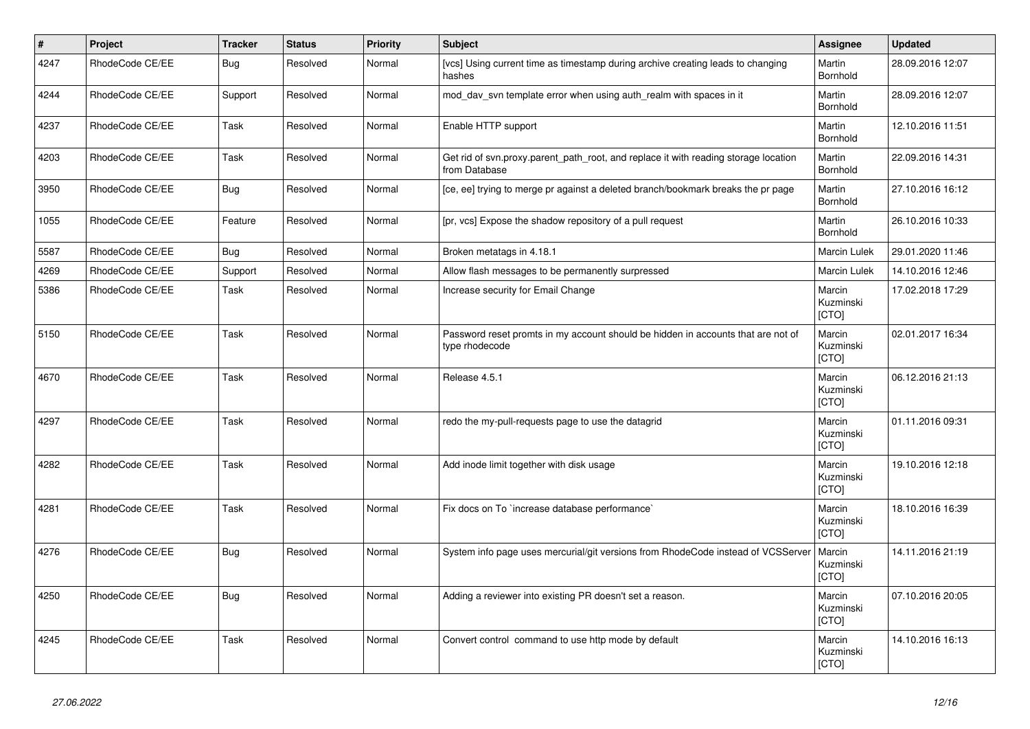| $\vert$ # | Project         | <b>Tracker</b> | <b>Status</b> | <b>Priority</b> | <b>Subject</b>                                                                                       | Assignee                            | <b>Updated</b>   |
|-----------|-----------------|----------------|---------------|-----------------|------------------------------------------------------------------------------------------------------|-------------------------------------|------------------|
| 4247      | RhodeCode CE/EE | Bug            | Resolved      | Normal          | [vcs] Using current time as timestamp during archive creating leads to changing<br>hashes            | Martin<br><b>Bornhold</b>           | 28.09.2016 12:07 |
| 4244      | RhodeCode CE/EE | Support        | Resolved      | Normal          | mod day syn template error when using auth realm with spaces in it                                   | Martin<br>Bornhold                  | 28.09.2016 12:07 |
| 4237      | RhodeCode CE/EE | Task           | Resolved      | Normal          | Enable HTTP support                                                                                  | Martin<br>Bornhold                  | 12.10.2016 11:51 |
| 4203      | RhodeCode CE/EE | Task           | Resolved      | Normal          | Get rid of svn.proxy.parent path root, and replace it with reading storage location<br>from Database | Martin<br>Bornhold                  | 22.09.2016 14:31 |
| 3950      | RhodeCode CE/EE | Bug            | Resolved      | Normal          | [ce, ee] trying to merge pr against a deleted branch/bookmark breaks the pr page                     | Martin<br>Bornhold                  | 27.10.2016 16:12 |
| 1055      | RhodeCode CE/EE | Feature        | Resolved      | Normal          | [pr, vcs] Expose the shadow repository of a pull request                                             | Martin<br>Bornhold                  | 26.10.2016 10:33 |
| 5587      | RhodeCode CE/EE | Bug            | Resolved      | Normal          | Broken metatags in 4.18.1                                                                            | Marcin Lulek                        | 29.01.2020 11:46 |
| 4269      | RhodeCode CE/EE | Support        | Resolved      | Normal          | Allow flash messages to be permanently surpressed                                                    | Marcin Lulek                        | 14.10.2016 12:46 |
| 5386      | RhodeCode CE/EE | Task           | Resolved      | Normal          | Increase security for Email Change                                                                   | Marcin<br>Kuzminski<br>[CTO]        | 17.02.2018 17:29 |
| 5150      | RhodeCode CE/EE | Task           | Resolved      | Normal          | Password reset promts in my account should be hidden in accounts that are not of<br>type rhodecode   | Marcin<br>Kuzminski<br>[CTO]        | 02.01.2017 16:34 |
| 4670      | RhodeCode CE/EE | Task           | Resolved      | Normal          | Release 4.5.1                                                                                        | Marcin<br>Kuzminski<br>[CTO]        | 06.12.2016 21:13 |
| 4297      | RhodeCode CE/EE | Task           | Resolved      | Normal          | redo the my-pull-requests page to use the datagrid                                                   | Marcin<br>Kuzminski<br>[CTO]        | 01.11.2016 09:31 |
| 4282      | RhodeCode CE/EE | Task           | Resolved      | Normal          | Add inode limit together with disk usage                                                             | Marcin<br>Kuzminski<br><b>ICTOI</b> | 19.10.2016 12:18 |
| 4281      | RhodeCode CE/EE | Task           | Resolved      | Normal          | Fix docs on To `increase database performance`                                                       | Marcin<br>Kuzminski<br>[CTO]        | 18.10.2016 16:39 |
| 4276      | RhodeCode CE/EE | <b>Bug</b>     | Resolved      | Normal          | System info page uses mercurial/git versions from RhodeCode instead of VCSServer                     | Marcin<br>Kuzminski<br>[CTO]        | 14.11.2016 21:19 |
| 4250      | RhodeCode CE/EE | Bug            | Resolved      | Normal          | Adding a reviewer into existing PR doesn't set a reason.                                             | Marcin<br>Kuzminski<br>[CTO]        | 07.10.2016 20:05 |
| 4245      | RhodeCode CE/EE | Task           | Resolved      | Normal          | Convert control command to use http mode by default                                                  | Marcin<br>Kuzminski<br>[CTO]        | 14.10.2016 16:13 |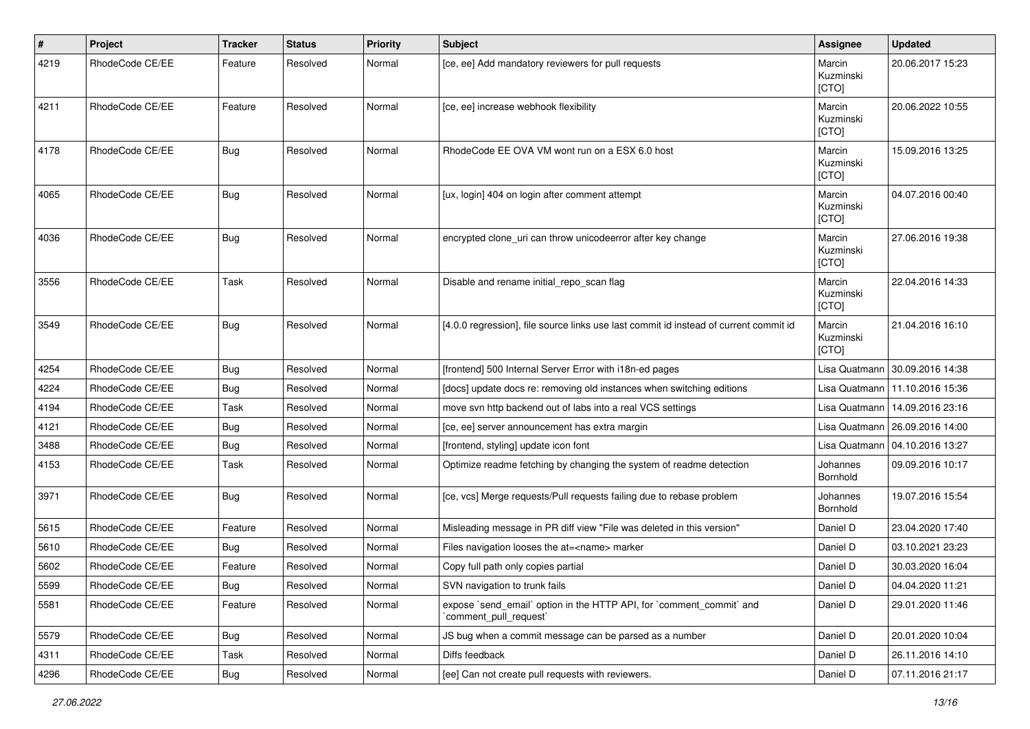| $\vert$ # | Project         | <b>Tracker</b> | <b>Status</b> | <b>Priority</b> | <b>Subject</b>                                                                                 | Assignee                     | <b>Updated</b>                   |
|-----------|-----------------|----------------|---------------|-----------------|------------------------------------------------------------------------------------------------|------------------------------|----------------------------------|
| 4219      | RhodeCode CE/EE | Feature        | Resolved      | Normal          | [ce, ee] Add mandatory reviewers for pull requests                                             | Marcin<br>Kuzminski<br>[CTO] | 20.06.2017 15:23                 |
| 4211      | RhodeCode CE/EE | Feature        | Resolved      | Normal          | [ce, ee] increase webhook flexibility                                                          | Marcin<br>Kuzminski<br>[CTO] | 20.06.2022 10:55                 |
| 4178      | RhodeCode CE/EE | Bug            | Resolved      | Normal          | RhodeCode EE OVA VM wont run on a ESX 6.0 host                                                 | Marcin<br>Kuzminski<br>[CTO] | 15.09.2016 13:25                 |
| 4065      | RhodeCode CE/EE | Bug            | Resolved      | Normal          | [ux, login] 404 on login after comment attempt                                                 | Marcin<br>Kuzminski<br>[CTO] | 04.07.2016 00:40                 |
| 4036      | RhodeCode CE/EE | Bug            | Resolved      | Normal          | encrypted clone_uri can throw unicodeerror after key change                                    | Marcin<br>Kuzminski<br>[CTO] | 27.06.2016 19:38                 |
| 3556      | RhodeCode CE/EE | Task           | Resolved      | Normal          | Disable and rename initial_repo_scan flag                                                      | Marcin<br>Kuzminski<br>[CTO] | 22.04.2016 14:33                 |
| 3549      | RhodeCode CE/EE | Bug            | Resolved      | Normal          | [4.0.0 regression], file source links use last commit id instead of current commit id          | Marcin<br>Kuzminski<br>[CTO] | 21.04.2016 16:10                 |
| 4254      | RhodeCode CE/EE | Bug            | Resolved      | Normal          | [frontend] 500 Internal Server Error with i18n-ed pages                                        |                              | Lisa Quatmann   30.09.2016 14:38 |
| 4224      | RhodeCode CE/EE | Bug            | Resolved      | Normal          | [docs] update docs re: removing old instances when switching editions                          |                              | Lisa Quatmann   11.10.2016 15:36 |
| 4194      | RhodeCode CE/EE | Task           | Resolved      | Normal          | move svn http backend out of labs into a real VCS settings                                     |                              | Lisa Quatmann   14.09.2016 23:16 |
| 4121      | RhodeCode CE/EE | Bug            | Resolved      | Normal          | [ce, ee] server announcement has extra margin                                                  |                              | Lisa Quatmann   26.09.2016 14:00 |
| 3488      | RhodeCode CE/EE | Bug            | Resolved      | Normal          | [frontend, styling] update icon font                                                           |                              | Lisa Quatmann   04.10.2016 13:27 |
| 4153      | RhodeCode CE/EE | Task           | Resolved      | Normal          | Optimize readme fetching by changing the system of readme detection                            | Johannes<br>Bornhold         | 09.09.2016 10:17                 |
| 3971      | RhodeCode CE/EE | Bug            | Resolved      | Normal          | [ce, vcs] Merge requests/Pull requests failing due to rebase problem                           | Johannes<br><b>Bornhold</b>  | 19.07.2016 15:54                 |
| 5615      | RhodeCode CE/EE | Feature        | Resolved      | Normal          | Misleading message in PR diff view "File was deleted in this version"                          | Daniel D                     | 23.04.2020 17:40                 |
| 5610      | RhodeCode CE/EE | Bug            | Resolved      | Normal          | Files navigation looses the at= <name> marker</name>                                           | Daniel D                     | 03.10.2021 23:23                 |
| 5602      | RhodeCode CE/EE | Feature        | Resolved      | Normal          | Copy full path only copies partial                                                             | Daniel D                     | 30.03.2020 16:04                 |
| 5599      | RhodeCode CE/EE | <b>Bug</b>     | Resolved      | Normal          | SVN navigation to trunk fails                                                                  | Daniel D                     | 04.04.2020 11:21                 |
| 5581      | RhodeCode CE/EE | Feature        | Resolved      | Normal          | expose `send email` option in the HTTP API, for `comment commit` and<br>`comment_pull_request` | Daniel D                     | 29.01.2020 11:46                 |
| 5579      | RhodeCode CE/EE | Bug            | Resolved      | Normal          | JS bug when a commit message can be parsed as a number                                         | Daniel D                     | 20.01.2020 10:04                 |
| 4311      | RhodeCode CE/EE | Task           | Resolved      | Normal          | Diffs feedback                                                                                 | Daniel D                     | 26.11.2016 14:10                 |
| 4296      | RhodeCode CE/EE | Bug            | Resolved      | Normal          | [ee] Can not create pull requests with reviewers.                                              | Daniel D                     | 07.11.2016 21:17                 |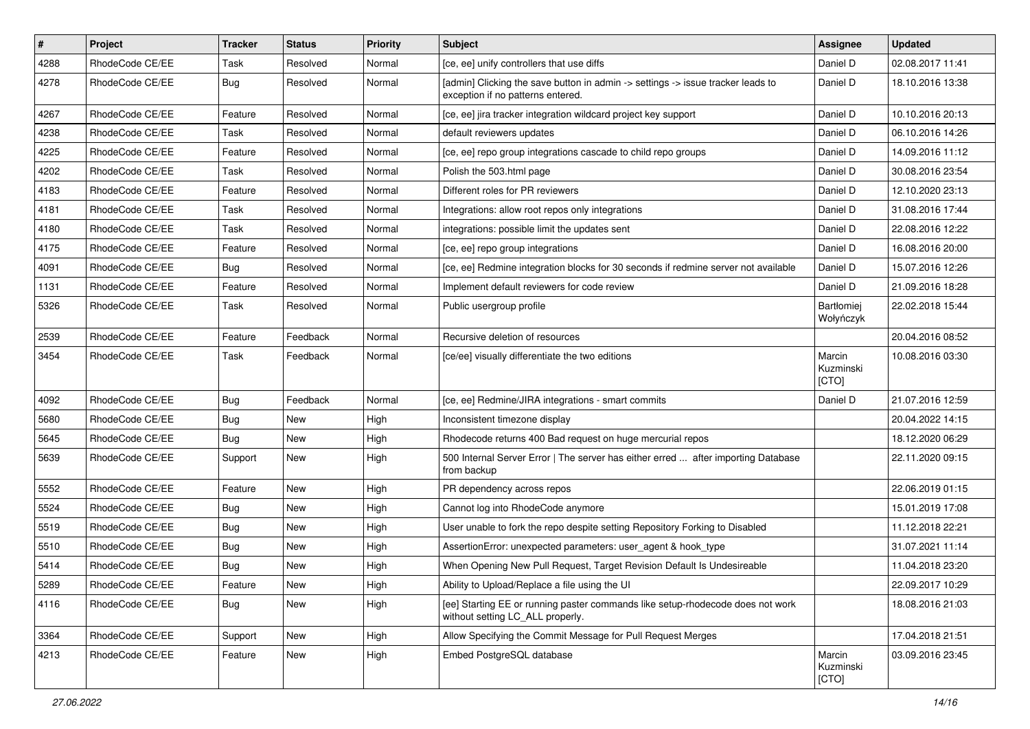| $\pmb{\#}$ | Project         | <b>Tracker</b> | <b>Status</b> | <b>Priority</b> | Subject                                                                                                              | Assignee                     | <b>Updated</b>   |
|------------|-----------------|----------------|---------------|-----------------|----------------------------------------------------------------------------------------------------------------------|------------------------------|------------------|
| 4288       | RhodeCode CE/EE | Task           | Resolved      | Normal          | [ce, ee] unify controllers that use diffs                                                                            | Daniel D                     | 02.08.2017 11:41 |
| 4278       | RhodeCode CE/EE | Bug            | Resolved      | Normal          | [admin] Clicking the save button in admin -> settings -> issue tracker leads to<br>exception if no patterns entered. | Daniel D                     | 18.10.2016 13:38 |
| 4267       | RhodeCode CE/EE | Feature        | Resolved      | Normal          | [ce, ee] jira tracker integration wildcard project key support                                                       | Daniel D                     | 10.10.2016 20:13 |
| 4238       | RhodeCode CE/EE | Task           | Resolved      | Normal          | default reviewers updates                                                                                            | Daniel D                     | 06.10.2016 14:26 |
| 4225       | RhodeCode CE/EE | Feature        | Resolved      | Normal          | [ce, ee] repo group integrations cascade to child repo groups                                                        | Daniel D                     | 14.09.2016 11:12 |
| 4202       | RhodeCode CE/EE | Task           | Resolved      | Normal          | Polish the 503.html page                                                                                             | Daniel D                     | 30.08.2016 23:54 |
| 4183       | RhodeCode CE/EE | Feature        | Resolved      | Normal          | Different roles for PR reviewers                                                                                     | Daniel D                     | 12.10.2020 23:13 |
| 4181       | RhodeCode CE/EE | Task           | Resolved      | Normal          | Integrations: allow root repos only integrations                                                                     | Daniel D                     | 31.08.2016 17:44 |
| 4180       | RhodeCode CE/EE | Task           | Resolved      | Normal          | integrations: possible limit the updates sent                                                                        | Daniel D                     | 22.08.2016 12:22 |
| 4175       | RhodeCode CE/EE | Feature        | Resolved      | Normal          | [ce, ee] repo group integrations                                                                                     | Daniel D                     | 16.08.2016 20:00 |
| 4091       | RhodeCode CE/EE | Bug            | Resolved      | Normal          | [ce, ee] Redmine integration blocks for 30 seconds if redmine server not available                                   | Daniel D                     | 15.07.2016 12:26 |
| 1131       | RhodeCode CE/EE | Feature        | Resolved      | Normal          | Implement default reviewers for code review                                                                          | Daniel D                     | 21.09.2016 18:28 |
| 5326       | RhodeCode CE/EE | Task           | Resolved      | Normal          | Public usergroup profile                                                                                             | Bartłomiej<br>Wołyńczyk      | 22.02.2018 15:44 |
| 2539       | RhodeCode CE/EE | Feature        | Feedback      | Normal          | Recursive deletion of resources                                                                                      |                              | 20.04.2016 08:52 |
| 3454       | RhodeCode CE/EE | Task           | Feedback      | Normal          | [ce/ee] visually differentiate the two editions                                                                      | Marcin<br>Kuzminski<br>[CTO] | 10.08.2016 03:30 |
| 4092       | RhodeCode CE/EE | <b>Bug</b>     | Feedback      | Normal          | [ce, ee] Redmine/JIRA integrations - smart commits                                                                   | Daniel D                     | 21.07.2016 12:59 |
| 5680       | RhodeCode CE/EE | <b>Bug</b>     | <b>New</b>    | High            | Inconsistent timezone display                                                                                        |                              | 20.04.2022 14:15 |
| 5645       | RhodeCode CE/EE | <b>Bug</b>     | New           | High            | Rhodecode returns 400 Bad request on huge mercurial repos                                                            |                              | 18.12.2020 06:29 |
| 5639       | RhodeCode CE/EE | Support        | New           | High            | 500 Internal Server Error   The server has either erred  after importing Database<br>from backup                     |                              | 22.11.2020 09:15 |
| 5552       | RhodeCode CE/EE | Feature        | New           | High            | PR dependency across repos                                                                                           |                              | 22.06.2019 01:15 |
| 5524       | RhodeCode CE/EE | <b>Bug</b>     | New           | High            | Cannot log into RhodeCode anymore                                                                                    |                              | 15.01.2019 17:08 |
| 5519       | RhodeCode CE/EE | Bug            | New           | High            | User unable to fork the repo despite setting Repository Forking to Disabled                                          |                              | 11.12.2018 22:21 |
| 5510       | RhodeCode CE/EE | <b>Bug</b>     | New           | High            | AssertionError: unexpected parameters: user agent & hook type                                                        |                              | 31.07.2021 11:14 |
| 5414       | RhodeCode CE/EE | <b>Bug</b>     | New           | High            | When Opening New Pull Request, Target Revision Default Is Undesireable                                               |                              | 11.04.2018 23:20 |
| 5289       | RhodeCode CE/EE | Feature        | New           | High            | Ability to Upload/Replace a file using the UI                                                                        |                              | 22.09.2017 10:29 |
| 4116       | RhodeCode CE/EE | Bug            | New           | High            | [ee] Starting EE or running paster commands like setup-rhodecode does not work<br>without setting LC_ALL properly.   |                              | 18.08.2016 21:03 |
| 3364       | RhodeCode CE/EE | Support        | <b>New</b>    | High            | Allow Specifying the Commit Message for Pull Request Merges                                                          |                              | 17.04.2018 21:51 |
| 4213       | RhodeCode CE/EE | Feature        | <b>New</b>    | High            | Embed PostgreSQL database                                                                                            | Marcin<br>Kuzminski<br>[CTO] | 03.09.2016 23:45 |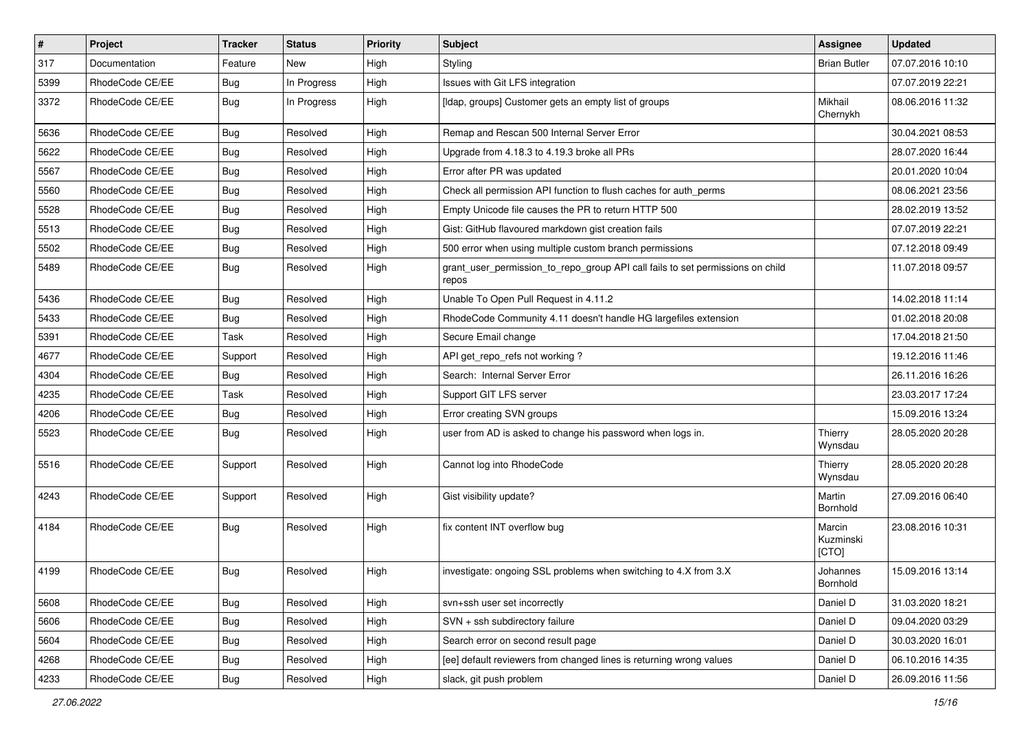| $\pmb{\#}$ | <b>Project</b>  | <b>Tracker</b> | <b>Status</b> | <b>Priority</b> | Subject                                                                                 | <b>Assignee</b>              | <b>Updated</b>   |
|------------|-----------------|----------------|---------------|-----------------|-----------------------------------------------------------------------------------------|------------------------------|------------------|
| 317        | Documentation   | Feature        | New           | High            | Styling                                                                                 | <b>Brian Butler</b>          | 07.07.2016 10:10 |
| 5399       | RhodeCode CE/EE | <b>Bug</b>     | In Progress   | High            | Issues with Git LFS integration                                                         |                              | 07.07.2019 22:21 |
| 3372       | RhodeCode CE/EE | Bug            | In Progress   | High            | [Idap, groups] Customer gets an empty list of groups                                    | Mikhail<br>Chernykh          | 08.06.2016 11:32 |
| 5636       | RhodeCode CE/EE | Bug            | Resolved      | High            | Remap and Rescan 500 Internal Server Error                                              |                              | 30.04.2021 08:53 |
| 5622       | RhodeCode CE/EE | <b>Bug</b>     | Resolved      | High            | Upgrade from 4.18.3 to 4.19.3 broke all PRs                                             |                              | 28.07.2020 16:44 |
| 5567       | RhodeCode CE/EE | <b>Bug</b>     | Resolved      | High            | Error after PR was updated                                                              |                              | 20.01.2020 10:04 |
| 5560       | RhodeCode CE/EE | <b>Bug</b>     | Resolved      | High            | Check all permission API function to flush caches for auth_perms                        |                              | 08.06.2021 23:56 |
| 5528       | RhodeCode CE/EE | <b>Bug</b>     | Resolved      | High            | Empty Unicode file causes the PR to return HTTP 500                                     |                              | 28.02.2019 13:52 |
| 5513       | RhodeCode CE/EE | <b>Bug</b>     | Resolved      | High            | Gist: GitHub flavoured markdown gist creation fails                                     |                              | 07.07.2019 22:21 |
| 5502       | RhodeCode CE/EE | Bug            | Resolved      | High            | 500 error when using multiple custom branch permissions                                 |                              | 07.12.2018 09:49 |
| 5489       | RhodeCode CE/EE | Bug            | Resolved      | High            | grant_user_permission_to_repo_group API call fails to set permissions on child<br>repos |                              | 11.07.2018 09:57 |
| 5436       | RhodeCode CE/EE | <b>Bug</b>     | Resolved      | High            | Unable To Open Pull Request in 4.11.2                                                   |                              | 14.02.2018 11:14 |
| 5433       | RhodeCode CE/EE | <b>Bug</b>     | Resolved      | High            | RhodeCode Community 4.11 doesn't handle HG largefiles extension                         |                              | 01.02.2018 20:08 |
| 5391       | RhodeCode CE/EE | Task           | Resolved      | High            | Secure Email change                                                                     |                              | 17.04.2018 21:50 |
| 4677       | RhodeCode CE/EE | Support        | Resolved      | High            | API get_repo_refs not working?                                                          |                              | 19.12.2016 11:46 |
| 4304       | RhodeCode CE/EE | <b>Bug</b>     | Resolved      | High            | Search: Internal Server Error                                                           |                              | 26.11.2016 16:26 |
| 4235       | RhodeCode CE/EE | Task           | Resolved      | High            | Support GIT LFS server                                                                  |                              | 23.03.2017 17:24 |
| 4206       | RhodeCode CE/EE | <b>Bug</b>     | Resolved      | High            | Error creating SVN groups                                                               |                              | 15.09.2016 13:24 |
| 5523       | RhodeCode CE/EE | <b>Bug</b>     | Resolved      | High            | user from AD is asked to change his password when logs in.                              | Thierry<br>Wynsdau           | 28.05.2020 20:28 |
| 5516       | RhodeCode CE/EE | Support        | Resolved      | High            | Cannot log into RhodeCode                                                               | Thierry<br>Wynsdau           | 28.05.2020 20:28 |
| 4243       | RhodeCode CE/EE | Support        | Resolved      | High            | Gist visibility update?                                                                 | Martin<br>Bornhold           | 27.09.2016 06:40 |
| 4184       | RhodeCode CE/EE | Bug            | Resolved      | High            | fix content INT overflow bug                                                            | Marcin<br>Kuzminski<br>[CTO] | 23.08.2016 10:31 |
| 4199       | RhodeCode CE/EE | <b>Bug</b>     | Resolved      | High            | investigate: ongoing SSL problems when switching to 4.X from 3.X                        | Johannes<br>Bornhold         | 15.09.2016 13:14 |
| 5608       | RhodeCode CE/EE | Bug            | Resolved      | High            | svn+ssh user set incorrectly                                                            | Daniel D                     | 31.03.2020 18:21 |
| 5606       | RhodeCode CE/EE | Bug            | Resolved      | High            | SVN + ssh subdirectory failure                                                          | Daniel D                     | 09.04.2020 03:29 |
| 5604       | RhodeCode CE/EE | Bug            | Resolved      | High            | Search error on second result page                                                      | Daniel D                     | 30.03.2020 16:01 |
| 4268       | RhodeCode CE/EE | Bug            | Resolved      | High            | [ee] default reviewers from changed lines is returning wrong values                     | Daniel D                     | 06.10.2016 14:35 |
| 4233       | RhodeCode CE/EE | Bug            | Resolved      | High            | slack, git push problem                                                                 | Daniel D                     | 26.09.2016 11:56 |